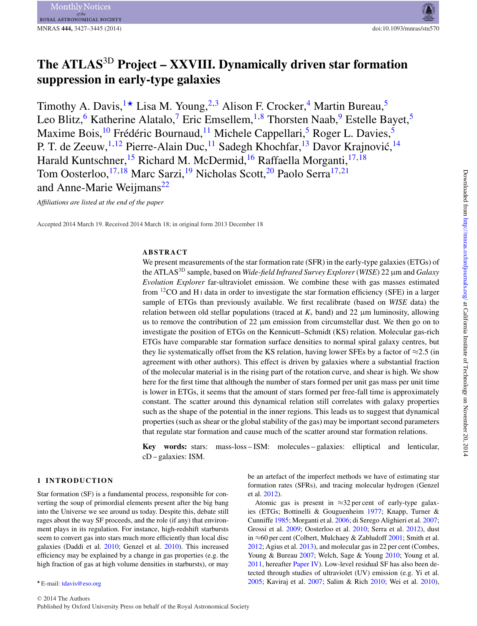# MNRAS **444,** 3427–3445 (2014) doi:10.1093/mnras/stu570

# **The ATLAS**3D **Project – XXVIII. Dynamically driven star formation suppression in early-type galaxies**

Timothy A. Davis, <sup>[1](#page-18-0)\*</sup> Lisa M. Young, <sup>[2,](#page-18-1) [3](#page-18-2)</sup> Alison F. Crocker, <sup>[4](#page-18-3)</sup> Martin Bureau,<sup>[5](#page-18-4)</sup> Leo Blitz,<sup>[6](#page-18-5)</sup> Katherine Alatalo,<sup>[7](#page-18-6)</sup> Eric Emsellem, <sup>[1,](#page-18-0)[8](#page-18-7)</sup> Thorsten Naab, <sup>9</sup> Estelle Bayet, <sup>[5](#page-18-4)</sup> Maxime Bois, <sup>10</sup> Frédéric Bournaud, <sup>[11](#page-18-10)</sup> Michele Cappellari, <sup>[5](#page-18-4)</sup> Roger L. Davies, <sup>5</sup> P. T. de Zeeuw,<sup>[1,](#page-18-0)[12](#page-18-11)</sup> Pierre-Alain Duc,<sup>11</sup> Sadegh Khochfar,<sup>[13](#page-18-12)</sup> Davor Krajnović,<sup>[14](#page-18-13)</sup> Harald Kuntschner,<sup>15</sup> Richard M. McDermid,<sup>[16](#page-18-15)</sup> Raffaella Morganti,<sup>[17,](#page-18-16)[18](#page-18-17)</sup> Tom Oosterloo,<sup>[17,](#page-18-16)[18](#page-18-17)</sup> Marc Sarzi,<sup>19</sup> Nicholas Scott,<sup>[20](#page-18-19)</sup> Paolo Serra<sup>17,[21](#page-18-20)</sup> and Anne-Marie Weijmans<sup>[22](#page-18-21)</sup>

*Affiliations are listed at the end of the paper*

Accepted 2014 March 19. Received 2014 March 18; in original form 2013 December 18

# **ABSTRACT**

We present measurements of the star formation rate (SFR) in the early-type galaxies (ETGs) of the ATLAS3D sample, based on *Wide-field Infrared Survey Explorer*(*WISE*) 22 μm and *Galaxy Evolution Explorer* far-ultraviolet emission. We combine these with gas masses estimated from  ${}^{12}CO$  and H<sub>I</sub> data in order to investigate the star formation efficiency (SFE) in a larger sample of ETGs than previously available. We first recalibrate (based on *WISE* data) the relation between old stellar populations (traced at  $K_s$  band) and 22  $\mu$ m luminosity, allowing us to remove the contribution of 22  $\mu$ m emission from circumstellar dust. We then go on to investigate the position of ETGs on the Kennicutt–Schmidt (KS) relation. Molecular gas-rich ETGs have comparable star formation surface densities to normal spiral galaxy centres, but they lie systematically offset from the KS relation, having lower SFEs by a factor of  $\approx$ 2.5 (in agreement with other authors). This effect is driven by galaxies where a substantial fraction of the molecular material is in the rising part of the rotation curve, and shear is high. We show here for the first time that although the number of stars formed per unit gas mass per unit time is lower in ETGs, it seems that the amount of stars formed per free-fall time is approximately constant. The scatter around this dynamical relation still correlates with galaxy properties such as the shape of the potential in the inner regions. This leads us to suggest that dynamical properties (such as shear or the global stability of the gas) may be important second parameters that regulate star formation and cause much of the scatter around star formation relations.

**Key words:** stars: mass-loss – ISM: molecules – galaxies: elliptical and lenticular, cD – galaxies: ISM.

# **1 INTRODUCTION**

Star formation (SF) is a fundamental process, responsible for converting the soup of primordial elements present after the big bang into the Universe we see around us today. Despite this, debate still rages about the way SF proceeds, and the role (if any) that environment plays in its regulation. For instance, high-redshift starbursts seem to convert gas into stars much more efficiently than local disc galaxies (Daddi et al. [2010;](#page-14-0) Genzel et al. [2010\)](#page-14-1). This increased efficiency may be explained by a change in gas properties (e.g. the high fraction of gas at high volume densities in starbursts), or may

be an artefact of the imperfect methods we have of estimating star formation rates (SFRs), and tracing molecular hydrogen (Genzel et al. [2012\)](#page-14-2).

Atomic gas is present in  $\approx$ 32 per cent of early-type galaxies (ETGs; Bottinelli & Gouguenheim [1977;](#page-14-3) Knapp, Turner & Cunniffe [1985;](#page-14-4) Morganti et al. [2006;](#page-14-5) di Serego Alighieri et al. [2007;](#page-14-6) Grossi et al. [2009;](#page-14-7) Oosterloo et al. [2010;](#page-14-8) Serra et al. [2012\)](#page-14-9), dust in ≈60 per cent (Colbert, Mulchaey & Zabludoff [2001;](#page-14-10) Smith et al. [2012;](#page-14-11) Agius et al. [2013\)](#page-13-0), and molecular gas in 22 per cent (Combes, Young & Bureau [2007;](#page-14-12) Welch, Sage & Young [2010;](#page-14-13) Young et al. [2011,](#page-14-14) hereafter [Paper IV\)](#page-14-14). Low-level residual SF has also been detected through studies of ultraviolet (UV) emission (e.g. Yi et al. [2005;](#page-14-15) Kaviraj et al. [2007;](#page-14-16) Salim & Rich [2010;](#page-14-17) Wei et al. [2010\)](#page-14-18),

<span id="page-0-0"></span><sup>\*</sup> E-mail: [tdavis@eso.org](mailto:tdavis@eso.org)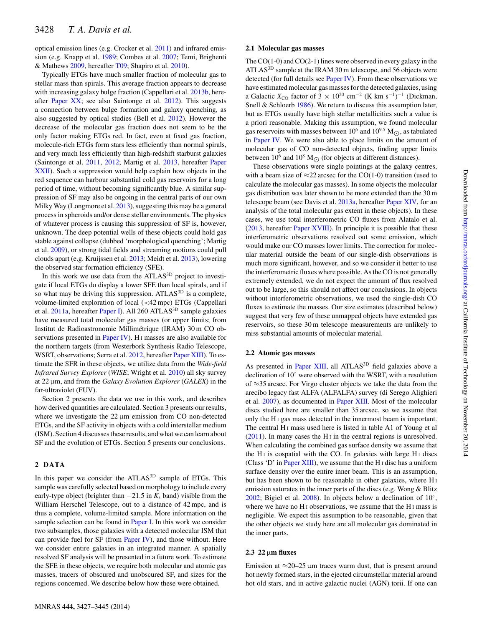optical emission lines (e.g. Crocker et al. [2011\)](#page-14-19) and infrared emission (e.g. Knapp et al. [1989;](#page-14-20) Combes et al. [2007;](#page-14-12) Temi, Brighenti & Mathews [2009,](#page-14-21) hereafter [T09;](#page-14-21) Shapiro et al. [2010\)](#page-14-22).

Typically ETGs have much smaller fraction of molecular gas to stellar mass than spirals. This average fraction appears to decrease with increasing galaxy bulge fraction (Cappellari et al. [2013b,](#page-14-23) hereafter [Paper XX;](#page-14-23) see also Saintonge et al. [2012\)](#page-14-24). This suggests a connection between bulge formation and galaxy quenching, as also suggested by optical studies (Bell et al. [2012\)](#page-14-25). However the decrease of the molecular gas fraction does not seem to be the only factor making ETGs red. In fact, even at fixed gas fraction, molecule-rich ETGs form stars less efficiently than normal spirals, and very much less efficiently than high-redshift starburst galaxies (Saintonge et al. [2011,](#page-14-26) [2012;](#page-14-24) Martig et al. [2013,](#page-14-27) hereafter [Paper](#page-14-27) [XXII\)](#page-14-27). Such a suppression would help explain how objects in the red sequence can harbour substantial cold gas reservoirs for a long period of time, without becoming significantly blue. A similar suppression of SF may also be ongoing in the central parts of our own Milky Way (Longmore et al. [2013\)](#page-14-28), suggesting this may be a general process in spheroids and/or dense stellar environments. The physics of whatever process is causing this suppression of SF is, however, unknown. The deep potential wells of these objects could hold gas stable against collapse (dubbed 'morphological quenching'; Martig et al. [2009\)](#page-14-29), or strong tidal fields and streaming motions could pull clouds apart (e.g. Kruijssen et al. [2013;](#page-14-30) Meidt et al. [2013\)](#page-14-31), lowering the observed star formation efficiency (SFE).

In this work we use data from the ATLAS<sup>3D</sup> project to investigate if local ETGs do display a lower SFE than local spirals, and if so what may be driving this suppression. ATLAS<sup>3D</sup> is a complete, volume-limited exploration of local (<42 mpc) ETGs (Cappellari et al. [2011a,](#page-14-32) hereafter [Paper I\)](#page-14-32). All 260 ATLAS<sup>3D</sup> sample galaxies have measured total molecular gas masses (or upper limits; from Institut de Radioastronomie Millimetrique (IRAM) 30 m CO ob- ´ servations presented in [Paper IV\)](#page-14-14). H<sub>I</sub> masses are also available for the northern targets (from Westerbork Synthesis Radio Telescope, WSRT, observations; Serra et al. [2012,](#page-14-9) hereafter [Paper XIII\)](#page-14-9). To estimate the SFR in these objects, we utilize data from the *Wide-field Infrared Survey Explorer* (*WISE*; Wright et al. [2010\)](#page-14-33) all sky survey at 22 μm, and from the *Galaxy Evolution Explorer* (*GALEX*) in the far-ultraviolet (FUV).

Section 2 presents the data we use in this work, and describes how derived quantities are calculated. Section 3 presents our results, where we investigate the 22 μm emission from CO non-detected ETGs, and the SF activity in objects with a cold interstellar medium (ISM). Section 4 discusses these results, and what we can learn about SF and the evolution of ETGs. Section 5 presents our conclusions.

#### **2 DATA**

In this paper we consider the ATLAS<sup>3D</sup> sample of ETGs. This sample was carefully selected based on morphology to include every early-type object (brighter than  $-21.5$  in  $K_s$  band) visible from the William Herschel Telescope, out to a distance of 42 mpc, and is thus a complete, volume-limited sample. More information on the sample selection can be found in [Paper I.](#page-14-32) In this work we consider two subsamples, those galaxies with a detected molecular ISM that can provide fuel for SF (from [Paper IV\)](#page-14-14), and those without. Here we consider entire galaxies in an integrated manner. A spatially resolved SF analysis will be presented in a future work. To estimate the SFE in these objects, we require both molecular and atomic gas masses, tracers of obscured and unobscured SF, and sizes for the regions concerned. We describe below how these were obtained.

# **2.1 Molecular gas masses**

The CO(1-0) and CO(2-1) lines were observed in every galaxy in the ATLAS<sup>3D</sup> sample at the IRAM 30 m telescope, and 56 objects were detected (for full details see [Paper IV\)](#page-14-14). From these observations we have estimated molecular gas masses for the detected galaxies, using a Galactic  $X_{\text{CO}}$  factor of 3 × 10<sup>20</sup> cm<sup>-2</sup> (K km s<sup>-1</sup>)<sup>-1</sup> (Dickman, Snell & Schloerb [1986\)](#page-14-34). We return to discuss this assumption later, but as ETGs usually have high stellar metallicities such a value is a priori reasonable. Making this assumption, we found molecular gas reservoirs with masses between  $10^6$  and  $10^{9.5}$  M $\odot$ , as tabulated in [Paper IV.](#page-14-14) We were also able to place limits on the amount of molecular gas of CO non-detected objects, finding upper limits between  $10^6$  and  $10^8$  M<sub> $\odot$ </sub> (for objects at different distances).

These observations were single pointings at the galaxy centres, with a beam size of  $\approx$ 22 arcsec for the CO(1-0) transition (used to calculate the molecular gas masses). In some objects the molecular gas distribution was later shown to be more extended than the 30 m telescope beam (see Davis et al. [2013a,](#page-14-35) hereafter [Paper XIV,](#page-14-35) for an analysis of the total molecular gas extent in these objects). In these cases, we use total interferometric CO fluxes from Alatalo et al. [\(2013,](#page-14-36) hereafter [Paper XVIII\)](#page-14-36). In principle it is possible that these interferometric observations resolved out some emission, which would make our CO masses lower limits. The correction for molecular material outside the beam of our single-dish observations is much more significant, however, and so we consider it better to use the interferometric fluxes where possible. As the CO is not generally extremely extended, we do not expect the amount of flux resolved out to be large, so this should not affect our conclusions. In objects without interferometric observations, we used the single-dish CO fluxes to estimate the masses. Our size estimates (described below) suggest that very few of these unmapped objects have extended gas reservoirs, so these 30 m telescope measurements are unlikely to miss substantial amounts of molecular material.

#### **2.2 Atomic gas masses**

As presented in [Paper XIII,](#page-14-9) all ATLAS<sup>3D</sup> field galaxies above a declination of 10◦ were observed with the WSRT, with a resolution of ≈35 arcsec. For Virgo cluster objects we take the data from the arecibo legacy fast ALFA (ALFALFA) survey (di Serego Alighieri et al. [2007\)](#page-14-6), as documented in [Paper XIII.](#page-14-9) Most of the molecular discs studied here are smaller than 35 arcsec, so we assume that only the H <sup>I</sup> gas mass detected in the innermost beam is important. The central  $H_1$  mass used here is listed in table A1 of Young et all [\(2011\)](#page-14-14). In many cases the H $\scriptstyle\rm I$  in the central regions is unresolved. When calculating the combined gas surface density we assume that the H<sub>I</sub> is cospatial with the CO. In galaxies with large H<sub>I</sub> discs (Class 'D' in [Paper XIII\)](#page-14-9), we assume that the H $\scriptstyle\rm I$  disc has a uniform surface density over the entire inner beam. This is an assumption, but has been shown to be reasonable in other galaxies, where H <sup>I</sup> emission saturates in the inner parts of the discs (e.g. Wong & Blitz [2002;](#page-14-37) Bigiel et al. [2008\)](#page-14-38). In objects below a declination of 10◦, where we have no  $H_1$  observations, we assume that the  $H_1$  mass is negligible. We expect this assumption to be reasonable, given that the other objects we study here are all molecular gas dominated in the inner parts.

#### **2.3 22** μ**m fluxes**

Emission at  $\approx$ 20–25  $\mu$ m traces warm dust, that is present around hot newly formed stars, in the ejected circumstellar material around hot old stars, and in active galactic nuclei (AGN) torii. If one can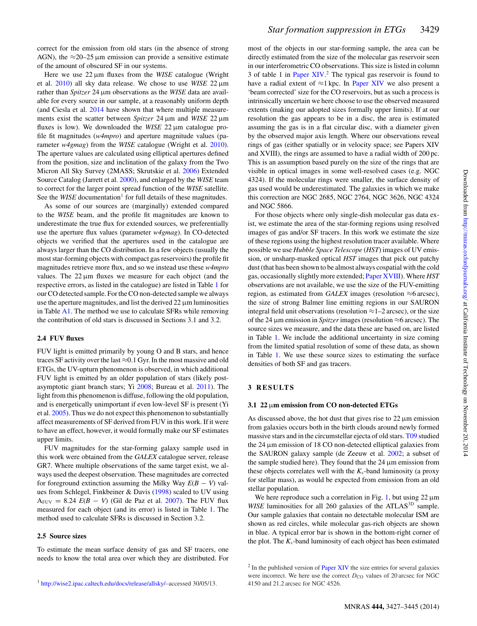correct for the emission from old stars (in the absence of strong AGN), the  $\approx$ 20–25 µm emission can provide a sensitive estimate of the amount of obscured SF in our systems.

Here we use 22 μm fluxes from the *WISE* catalogue (Wright et al. [2010\)](#page-14-33) all sky data release. We chose to use *WISE* 22 μm rather than *Spitzer* 24 μm observations as the *WISE* data are available for every source in our sample, at a reasonably uniform depth (and Ciesla et al. [2014](#page-14-39) have shown that where multiple measurements exist the scatter between *Spitzer* 24 μm and *WISE* 22 μm fluxes is low). We downloaded the *WISE* 22 μm catalogue profile fit magnitudes (*w4mpro*) and aperture magnitude values (parameter *w4gmag*) from the *WISE* catalogue (Wright et al. [2010\)](#page-14-33). The aperture values are calculated using elliptical apertures defined from the position, size and inclination of the galaxy from the Two Micron All Sky Survey (2MASS; Skrutskie et al. [2006\)](#page-14-40) Extended Source Catalog (Jarrett et al. [2000\)](#page-14-41), and enlarged by the *WISE* team to correct for the larger point spread function of the *WISE* satellite. See the *WISE* documentation<sup>1</sup> for full details of these magnitudes.

As some of our sources are (marginally) extended compared to the *WISE* beam, and the profile fit magnitudes are known to underestimate the true flux for extended sources, we preferentially use the aperture flux values (parameter *w4gmag*). In CO-detected objects we verified that the apertures used in the catalogue are always larger than the CO distribution. In a few objects (usually the most star-forming objects with compact gas reservoirs) the profile fit magnitudes retrieve more flux, and so we instead use these *w4mpro* values. The  $22 \mu m$  fluxes we measure for each object (and the respective errors, as listed in the catalogue) are listed in Table [1](#page-3-0) for our CO detected sample. For the CO non-detected sample we always use the aperture magnitudes, and list the derived  $22 \mu m$  luminosities in Table [A1.](#page-16-0) The method we use to calculate SFRs while removing the contribution of old stars is discussed in Sections 3.1 and 3.2.

## **2.4 FUV fluxes**

FUV light is emitted primarily by young O and B stars, and hence traces SF activity over the last  $\approx 0.1$  Gyr. In the most massive and old ETGs, the UV-upturn phenomenon is observed, in which additional FUV light is emitted by an older population of stars (likely postasymptotic giant branch stars; Yi [2008;](#page-14-42) Bureau et al. [2011\)](#page-14-43). The light from this phenomenon is diffuse, following the old population, and is energetically unimportant if even low-level SF is present (Yi et al. [2005\)](#page-14-15). Thus we do not expect this phenomenon to substantially affect measurements of SF derived from FUV in this work. If it were to have an effect, however, it would formally make our SF estimates upper limits.

FUV magnitudes for the star-forming galaxy sample used in this work were obtained from the *GALEX* catalogue server, release GR7. Where multiple observations of the same target exist, we always used the deepest observation. These magnitudes are corrected for foreground extinction assuming the Milky Way *E*(*B* − *V*) values from Schlegel, Finkbeiner & Davis [\(1998\)](#page-14-44) scaled to UV using  $A_{\text{FUV}} = 8.24$   $E(B - V)$  (Gil de Paz et al. [2007\)](#page-14-45). The FUV flux measured for each object (and its error) is listed in Table [1.](#page-3-0) The method used to calculate SFRs is discussed in Section 3.2.

#### **2.5 Source sizes**

To estimate the mean surface density of gas and SF tracers, one needs to know the total area over which they are distributed. For most of the objects in our star-forming sample, the area can be directly estimated from the size of the molecular gas reservoir seen in our interferometric CO observations. This size is listed in column 3 of table 1 in [Paper XIV.](#page-14-35) <sup>2</sup> The typical gas reservoir is found to have a radial extent of  $\approx$ 1 kpc. In [Paper XIV](#page-14-35) we also present a 'beam corrected' size for the CO reservoirs, but as such a process is intrinsically uncertain we here choose to use the observed measured extents (making our adopted sizes formally upper limits). If at our resolution the gas appears to be in a disc, the area is estimated assuming the gas is in a flat circular disc, with a diameter given by the observed major axis length. Where our observations reveal rings of gas (either spatially or in velocity space; see Papers XIV and XVIII), the rings are assumed to have a radial width of 200 pc. This is an assumption based purely on the size of the rings that are visible in optical images in some well-resolved cases (e.g. NGC 4324). If the molecular rings were smaller, the surface density of gas used would be underestimated. The galaxies in which we make this correction are NGC 2685, NGC 2764, NGC 3626, NGC 4324 and NGC 5866.

For those objects where only single-dish molecular gas data exist, we estimate the area of the star-forming regions using resolved images of gas and/or SF tracers. In this work we estimate the size of these regions using the highest resolution tracer available. Where possible we use *Hubble Space Telescope* (*HST*) images of UV emission, or unsharp-masked optical *HST* images that pick out patchy dust (that has been shown to be almost always cospatial with the cold gas, occasionally slightly more extended; [Paper XVIII\)](#page-14-36). Where *HST* observations are not available, we use the size of the FUV-emitting region, as estimated from *GALEX* images (resolution  $\approx$ 6 arcsec), the size of strong Balmer line emitting regions in our SAURON integral field unit observations (resolution  $\approx$  1–2 arcsec), or the size of the 24 μm emission in *Spitzer*images (resolution ≈6 arcsec). The source sizes we measure, and the data these are based on, are listed in Table [1.](#page-3-0) We include the additional uncertainty in size coming from the limited spatial resolution of some of these data, as shown in Table [1.](#page-3-0) We use these source sizes to estimating the surface densities of both SF and gas tracers.

#### **3 RESULTS**

#### **3.1 22** μ**m emission from CO non-detected ETGs**

As discussed above, the hot dust that gives rise to  $22 \mu m$  emission from galaxies occurs both in the birth clouds around newly formed massive stars and in the circumstellar ejecta of old stars. [T09](#page-14-21) studied the 24 μm emission of 18 CO non-detected elliptical galaxies from the SAURON galaxy sample (de Zeeuw et al. [2002;](#page-14-46) a subset of the sample studied here). They found that the  $24 \mu m$  emission from these objects correlates well with the  $K_s$ -band luminosity (a proxy for stellar mass), as would be expected from emission from an old stellar population.

We here reproduce such a correlation in Fig. [1,](#page-4-0) but using  $22 \mu m$ *WISE* luminosities for all 260 galaxies of the ATLAS<sup>3D</sup> sample. Our sample galaxies that contain no detectable molecular ISM are shown as red circles, while molecular gas-rich objects are shown in blue. A typical error bar is shown in the bottom-right corner of the plot. The *K*s-band luminosity of each object has been estimated

 $2 \text{ In the published version of Paper XIV}$  $2 \text{ In the published version of Paper XIV}$  $2 \text{ In the published version of Paper XIV}$  the size entries for several galaxies were incorrect. We here use the correct  $D_{\text{CO}}$  values of 20 arcsec for NGC 4150 and 21.2 arcsec for NGC 4526.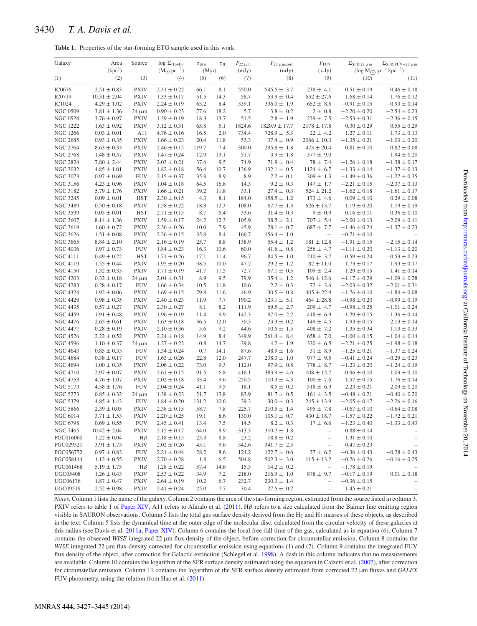# <span id="page-3-0"></span>3430 *T. A. Davis et al.*

| <b>Table 1.</b> Properties of the star-forming ETG sample used in this work. |  |  |  |  |
|------------------------------------------------------------------------------|--|--|--|--|
|                                                                              |  |  |  |  |

| Galaxy                             | Area                               | Source                    | $log \Sigma_{H_1+H_2}$             | $\tau_{dyn}$  | $\tau_{\rm ff}$ | $F_{22 \mu m}$  | $F_{22 \mu m, corr}$               | $F_{\rm FUV}$                    | $\Sigma$ SFR, 22 µm                  | $\Sigma$ SFR, FUV+22 $\mu$ m                 |
|------------------------------------|------------------------------------|---------------------------|------------------------------------|---------------|-----------------|-----------------|------------------------------------|----------------------------------|--------------------------------------|----------------------------------------------|
|                                    | (kpc <sup>2</sup> )                |                           | $(M_{\odot} pc^{-2})$              | (Myr)         |                 | (mJy)           | (mJy)                              | $(\mu Jy)$                       |                                      | $(\log M_{\bigodot} \, yr^{-1} \, kpc^{-2})$ |
| (1)                                | (2)                                | (3)                       | (4)                                | (5)           | (6)             | (7)             | (8)                                | (9)                              | (10)                                 | (11)                                         |
| IC0676                             | $2.51 \pm 0.83$                    | <b>PXIV</b>               | $2.31 \pm 0.22$                    | 66.1          | 8.1             | 550.0           | $545.5 \pm 3.7$                    | $238 \pm 4.1$                    | $-0.51 \pm 0.19$                     | $-0.46 \pm 0.18$                             |
| IC0719                             | $10.31 \pm 2.04$                   | <b>PXIV</b>               | $1.33 \pm 0.17$                    | 51.5          | 14.3            | 58.7            | $53.9 \pm 0.4$                     | $652 \pm 27.6$                   | $-1.68 \pm 0.14$                     | $-1.76 \pm 0.12$                             |
| IC1024                             | $4.29 \pm 1.02$                    | <b>PXIV</b>               | $2.24 \pm 0.19$                    | 63.2          | 8.4             | 339.1           | $336.0 \pm 1.9$                    | $652 \pm 8.6$                    | $-0.91 \pm 0.15$                     | $-0.93\pm0.14$                               |
| <b>NGC 0509</b>                    | $3.81 \pm 1.36$                    | $24 \mu m$                | $0.90 \pm 0.23$                    | 77.6          | 18.2            | 5.7             | $3.8 \pm 0.2$                      | $2 \pm 0.8$                      | $-2.20 \pm 0.20$                     | $-2.54 \pm 0.23$                             |
| <b>NGC 0524</b><br><b>NGC 1222</b> | $3.76 \pm 0.97$<br>$1.63 \pm 0.92$ | <b>PXIV</b>               | $1.39 \pm 0.19$                    | 18.3          | 13.7            | 51.5            | $2.8 \pm 1.9$<br>$1820.9 \pm 17.7$ | $239 \pm 7.5$<br>$2178 \pm 17.8$ | $-2.53 \pm 0.31$                     | $-2.36 \pm 0.15$                             |
| <b>NGC 1266</b>                    | $0.03 \pm 0.01$                    | <b>PXIV</b><br>A11        | $3.12 \pm 0.31$<br>$4.76 \pm 0.16$ | 65.8<br>16.8  | 5.1<br>2.0      | 1824.6<br>734.4 | $728.9 \pm 5.3$                    | $22 \pm 4.2$                     | $0.30 \pm 0.29$<br>$1.27 \pm 0.11$   | $0.55 \pm 0.29$<br>$1.73 \pm 0.13$           |
| <b>NGC 2685</b>                    | $0.93 \pm 0.35$                    | <b>PXIV</b>               | $1.66 \pm 0.23$                    | 20.4          | 11.8            | 53.3            | $37.4 \pm 0.9$                     | $2066 \pm 10.3$                  | $-1.35 \pm 0.21$                     | $-1.03 \pm 0.20$                             |
| <b>NGC 2764</b>                    | $8.63 \pm 0.33$                    | <b>PXIV</b>               | $2.46 \pm 0.15$                    | 119.7         | 7.4             | 300.0           | $295.8 \pm 1.8$                    | $473 \pm 20.4$                   | $-0.81 \pm 0.10$                     | $-0.82\pm0.08$                               |
| <b>NGC 2768</b>                    | $1.48 \pm 0.57$                    | <b>PXIV</b>               | $1.47 \pm 0.24$                    | 12.9          | 13.1            | 51.7            | $-3.9 \pm 1.8$                     | $377 \pm 9.0$                    | $\qquad \qquad -$                    | $-1.94 \pm 0.20$                             |
| <b>NGC 2824</b>                    | $7.80 \pm 2.44$                    | <b>PXIV</b>               | $2.03 \pm 0.21$                    | 37.6          | 9.5             | 74.9            | $71.9 \pm 0.4$                     | $78 \pm 7.4$                     | $-1.26 \pm 0.18$                     | $-1.38 \pm 0.17$                             |
| <b>NGC 3032</b>                    | $4.85 \pm 1.01$                    | <b>PXIV</b>               | $1.82 \pm 0.18$                    | 56.4          | 10.7            | 136.9           | $132.1 \pm 0.5$                    | $1124 \pm 6.7$                   | $-1.33 \pm 0.14$                     | $-1.37 \pm 0.13$                             |
| <b>NGC 3073</b>                    | $0.97 \pm 0.69$                    | <b>FUV</b>                | $2.15 \pm 0.37$                    | 35.8          | 8.9             | 8.9             | $7.2 \pm 0.1$                      | $309 \pm 1.3$                    | $-1.49 \pm 0.36$                     | $-1.27 \pm 0.35$                             |
| <b>NGC 3156</b>                    | $4.23 \pm 0.96$                    | <b>PXIV</b>               | $1.04 \pm 0.18$                    | 64.5          | 16.8            | 14.3            | $9.2 \pm 0.3$                      | $147 \pm 1.7$                    | $-2.21 \pm 0.15$                     | $-2.37 \pm 0.13$                             |
| <b>NGC 3182</b>                    | $5.79 \pm 1.76$                    | <b>PXIV</b>               | $1.66 \pm 0.21$                    | 39.2          | 11.8            | 33.1            | $27.4 \pm 0.3$                     | $524 \pm 21.2$                   | $-1.62 \pm 0.18$                     | $-1.61 \pm 0.17$                             |
| <b>NGC 3245</b>                    | $0.09 \pm 0.01$                    | <b>HST</b>                | $2.30 \pm 0.15$                    | 4.3           | 8.1             | 184.0           | $158.5 \pm 1.2$                    | $173 \pm 4.6$                    | $0.09 \pm 0.10$                      | $0.29 \pm 0.08$                              |
| <b>NGC 3489</b>                    | $0.50 \pm 0.18$                    | <b>PXIV</b>               | $1.58 \pm 0.22$                    | 18.3          | 12.3            | 108.0           | $67.7 \pm 1.3$                     | $626 \pm 13.7$                   | $-1.19 \pm 0.20$                     | $-1.19 \pm 0.19$                             |
| <b>NGC 3599</b>                    | $0.05 \pm 0.01$                    | <b>HST</b>                | $2.71 \pm 0.15$                    | 8.7           | 6.4             | 33.6            | $31.4 \pm 0.3$                     | $9 \pm 0.9$                      | $0.16 \pm 0.11$                      | $0.36 \pm 0.10$                              |
| <b>NGC 3607</b>                    | $8.14 \pm 1.36$                    | <b>PXIV</b>               | $1.59 \pm 0.17$                    | 24.2          | 12.3            | 105.9           | $38.5 \pm 2.1$                     | $707 \pm 5.4$                    | $-2.00 \pm 0.13$                     | $-2.09 \pm 0.11$                             |
| <b>NGC 3619</b>                    | $1.60 \pm 0.72$                    | <b>PXIV</b>               | $2.36 \pm 0.26$                    | 10.0          | 7.9             | 45.9            | $28.1 \pm 0.7$                     | $687 \pm 7.7$                    | $-1.46 \pm 0.24$                     | $-1.37 \pm 0.23$                             |
| <b>NGC 3626</b>                    | $1.51 \pm 0.08$                    | <b>PXIV</b>               | $2.26 \pm 0.15$                    | 35.8          | 8.4             | 166.7           | $156.4 \pm 1.0$                    | $\overline{\phantom{m}}$         | $-0.71 \pm 0.10$                     |                                              |
| <b>NGC 3665</b>                    | $8.84 \pm 2.10$                    | <b>PXIV</b>               | $2.16 \pm 0.19$                    | 25.7          | 8.8             | 138.9           | $55.4 \pm 1.2$                     | $181 \pm 12.8$                   | $-1.91 \pm 0.15$                     | $-2.15 \pm 0.14$                             |
| <b>NGC 4036</b>                    | $1.97 \pm 0.73$                    | <b>FUV</b>                | $1.84 \pm 0.23$<br>$1.71 \pm 0.26$ | 16.3          | 10.6            | 60.0            | $41.6 \pm 0.8$                     | $256 \pm 4.7$                    | $-1.11 \pm 0.20$                     | $-1.13\pm0.20$                               |
| <b>NGC 4111</b><br><b>NGC 4119</b> | $0.49 \pm 0.22$<br>$1.55 \pm 0.44$ | <b>HST</b><br><b>PXIV</b> | $1.95 \pm 0.20$                    | 17.1<br>38.5  | 11.4<br>10.0    | 96.7<br>47.2    | $84.5 \pm 1.0$<br>$29.2 \pm 1.2$   | $210 \pm 3.7$<br>$82 \pm 11.0$   | $-0.59 \pm 0.24$<br>$-1.73 \pm 0.17$ | $-0.53 \pm 0.23$<br>$-1.93 \pm 0.17$         |
| <b>NGC 4150</b>                    | $1.32 \pm 0.33$                    | <b>PXIV</b>               | $1.71 \pm 0.19$                    | 41.7          | 11.5            | 72.7            | $67.1 \pm 0.5$                     | $109 \pm 2.4$                    | $-1.29 \pm 0.15$                     | $-1.41\pm0.14$                               |
| <b>NGC 4203</b>                    | $0.32 \pm 0.18$                    | $24 \mu m$                | $2.04 \pm 0.31$                    | 8.9           | 9.5             | 79.9            | $35.4 \pm 1.2$                     | $546 \pm 12.6$                   | $-1.17 \pm 0.29$                     | $-1.09 \pm 0.28$                             |
| <b>NGC 4283</b>                    | $0.28 \pm 0.17$                    | <b>FUV</b>                | $1.66 \pm 0.34$                    | 10.5          | 11.8            | 10.6            | $2.2 \pm 0.3$                      | $72 \pm 3.6$                     | $-2.03 \pm 0.32$                     | $-2.01 \pm 0.31$                             |
| <b>NGC 4324</b>                    | $1.92 \pm 0.06$                    | <b>PXIV</b>               | $1.69 \pm 0.15$                    | 79.8          | 11.6            | 46.9            | $30.5 \pm 0.8$                     | $405 \pm 22.9$                   | $-1.76 \pm 0.10$                     | $-1.84 \pm 0.08$                             |
| <b>NGC 4429</b>                    | $0.98 \pm 0.35$                    | <b>PXIV</b>               | $2.40 \pm 0.23$                    | 11.9          | 7.7             | 190.2           | $123.1 \pm 5.1$                    | $464 \pm 28.8$                   | $-0.98 \pm 0.20$                     | $-0.99\pm0.19$                               |
| <b>NGC 4435</b>                    | $0.57 \pm 0.27$                    | <b>PXIV</b>               | $2.30 \pm 0.27$                    | 8.1           | 8.2             | 111.9           | $69.5 \pm 2.7$                     | $209 \pm 4.7$                    | $-0.98 \pm 0.25$                     | $-1.01 \pm 0.24$                             |
| <b>NGC 4459</b>                    | $1.91 \pm 0.48$                    | <b>PXIV</b>               | $1.96 \pm 0.19$                    | 11.4          | 9.9             | 142.3           | $97.0 \pm 2.2$                     | $418 \pm 6.9$                    | $-1.29 \pm 0.15$                     | $-1.36 \pm 0.14$                             |
| <b>NGC 4476</b>                    | $2.65 \pm 0.61$                    | <b>PXIV</b>               | $1.63 \pm 0.18$                    | 36.5          | 12.0            | 30.3            | $23.3 \pm 0.2$                     | $149 \pm 4.5$                    | $-1.93 \pm 0.15$                     | $-2.13 \pm 0.14$                             |
| <b>NGC 4477</b>                    | $0.28 \pm 0.19$                    | <b>PXIV</b>               | $2.10 \pm 0.36$                    | 5.6           | 9.2             | 44.6            | $10.6 \pm 1.5$                     | $408 \pm 7.2$                    | $-1.35 \pm 0.34$                     | $-1.13 \pm 0.33$                             |
| <b>NGC 4526</b>                    | $2.22 \pm 0.52$                    | <b>PXIV</b>               | $2.24 \pm 0.18$                    | 14.9          | 8.4             | 349.9           | $261.4 \pm 8.4$                    | $658 \pm 7.0$                    | $-1.00 \pm 0.15$                     | $-1.04 \pm 0.14$                             |
| <b>NGC 4596</b>                    | $1.10 \pm 0.37$                    | $24 \mu m$                | $1.27 \pm 0.22$                    | 0.8           | 14.7            | 39.8            | $4.2 \pm 1.9$                      | $330 \pm 6.5$                    | $-2.21 \pm 0.25$                     | $-1.98 \pm 0.18$                             |
| <b>NGC 4643</b>                    | $0.85 \pm 0.33$                    | <b>FUV</b>                | $1.34 \pm 0.24$                    | 0.7           | 14.1            | 87.6            | $48.9 \pm 1.6$                     | $31 \pm 8.9$                     | $-1.25 \pm 0.21$                     | $-1.37 \pm 0.24$                             |
| <b>NGC 4684</b>                    | $0.38 \pm 0.17$                    | <b>FUV</b>                | $1.63 \pm 0.26$                    | 22.8          | 12.0            | 247.7           | $238.0 \pm 1.0$                    | $977 \pm 9.5$                    | $-0.41 \pm 0.24$                     | $-0.29 \pm 0.23$                             |
| <b>NGC 4694</b>                    | $1.00 \pm 0.35$                    | <b>PXIV</b>               | $2.06 \pm 0.22$                    | 73.0          | 9.3             | 112.0           | $97.9 \pm 0.8$                     | $778 \pm 8.7$                    | $-1.23 \pm 0.20$                     | $-1.24 \pm 0.19$                             |
| <b>NGC 4710</b>                    | $2.97 \pm 0.07$                    | <b>PXIV</b>               | $2.61 \pm 0.15$                    | 91.5          | 6.8             | 416.1           | $383.9 \pm 4.6$                    | $108 \pm 15.7$                   | $-0.96 \pm 0.10$                     | $-1.03 \pm 0.10$                             |
| <b>NGC 4753</b>                    | $4.76 \pm 1.07$                    | <b>PXIV</b>               | $2.02 \pm 0.18$                    | 33.4          | 9.6             | 250.5           | $110.3 \pm 4.3$                    | $100 \pm 7.6$                    | $-1.57 \pm 0.15$                     | $-1.76 \pm 0.14$                             |
| <b>NGC 5173</b><br><b>NGC 5273</b> | $4.58 \pm 1.76$                    | <b>FUV</b>                | $2.04 \pm 0.24$                    | 41.1          | 9.5             | 18.1            | $8.5 \pm 0.2$<br>$81.7 \pm 0.5$    | $518 \pm 6.9$                    | $-2.23 \pm 0.21$<br>$-0.48 \pm 0.21$ | $-2.09 \pm 0.20$<br>$-0.40 \pm 0.20$         |
| <b>NGC 5379</b>                    | $0.85 \pm 0.32$<br>$4.85 \pm 1.43$ | $24 \mu m$<br><b>FUV</b>  | $1.38 \pm 0.23$<br>$1.84 \pm 0.20$ | 21.7<br>131.2 | 13.8<br>10.6    | 83.9<br>39.3    | $30.0 \pm 0.3$                     | $161 \pm 3.5$<br>$245 \pm 13.9$  | $-2.05 \pm 0.17$                     | $-2.26 \pm 0.16$                             |
| <b>NGC 5866</b>                    | $2.39 \pm 0.05$                    | <b>PXIV</b>               | $2.38 \pm 0.15$                    | 58.7          | 7.8             | 225.7           | $210.5 \pm 1.4$                    | $495 \pm 7.8$                    | $-0.67 \pm 0.10$                     | $-0.64 \pm 0.08$                             |
| <b>NGC 6014</b>                    | $3.71 \pm 1.53$                    | <b>PXIV</b>               | $2.20\pm0.25$                      | 19.1          | 8.6             | 130.0           | $105.1 \pm 0.7$                    | $430 \pm 18.7$                   | $-1.57 \pm 0.22$                     | $-1.72\pm0.21$                               |
| <b>NGC 6798</b>                    | $0.69 \pm 0.55$                    | <b>FUV</b>                | $2.45 \pm 0.41$                    | 13.4          | 7.5             | 14.5            | $8.2 \pm 0.3$                      | $17 \pm 6.6$                     | $-1.23 \pm 0.40$                     | $-1.33 \pm 0.43$                             |
| <b>NGC 7465</b>                    | $10.42 \pm 2.04$                   | <b>PXIV</b>               | $2.15 \pm 0.17$                    | 64.0          | 8.9             | 313.3           | $310.2 \pm 1.8$                    | $\overline{\phantom{0}}$         | $-0.88 \pm 0.14$                     |                                              |
| PGC016060                          | $1.22 \pm 0.04$                    | $H\beta$                  | $2.18 \pm 0.15$                    | 25.3          | 8.8             | 23.2            | $18.8 \pm 0.2$                     | $\overline{\phantom{0}}$         | $-1.31 \pm 0.10$                     |                                              |
| PGC029321                          | $3.91 \pm 1.73$                    | <b>PXIV</b>               | $2.02 \pm 0.26$                    | 45.1          | 9.6             | 342.6           | $341.7 \pm 2.5$                    | $\overline{\phantom{m}}$         | $-0.47 \pm 0.23$                     |                                              |
| PGC056772                          | $0.97 \pm 0.83$                    | <b>FUV</b>                | $2.21 \pm 0.44$                    | 28.2          | 8.6             | 124.2           | $122.7 \pm 0.6$                    | $37 \pm 6.2$                     | $-0.36 \pm 0.43$                     | $-0.28 \pm 0.43$                             |
| PGC058114                          | $1.12 \pm 0.55$                    | <b>PXIV</b>               | $2.70 \pm 0.28$                    | 1.8           | 6.5             | 504.8           | $502.3 \pm 3.0$                    | $115 \pm 13.2$                   | $-0.26 \pm 0.26$                     | $-0.16 \pm 0.25$                             |
| PGC061468                          | $5.19 \pm 1.75$                    | $H\beta$                  | $1.28 \pm 0.22$                    | 57.4          | 14.6            | 15.3            | $14.2 \pm 0.2$                     | $\overline{\phantom{a}}$         | $-1.78 \pm 0.19$                     |                                              |
| <b>UGC05408</b>                    | $1.26 \pm 0.43$                    | <b>PXIV</b>               | $2.53 \pm 0.22$                    | 34.9          | 7.2             | 218.0           | $216.9 \pm 1.0$                    | $878 \pm 9.7$                    | $-0.17 \pm 0.19$                     | $0.01 \pm 0.18$                              |
| <b>UGC06176</b>                    | $1.87 \pm 0.47$                    | <b>PXIV</b>               | $2.64 \pm 0.19$                    | 10.2          | 6.7             | 232.7           | $230.3 \pm 1.4$                    | $\overline{\phantom{a}}$         | $-0.36 \pm 0.15$                     |                                              |
| UGC09519                           | $2.52 \pm 0.98$                    | <b>PXIV</b>               | $2.41 \pm 0.24$                    | 25.0          | 7.7             | 30.4            | $27.5 \pm 0.2$                     | $\overline{\phantom{a}}$         | $-1.45 \pm 0.21$                     |                                              |

*Notes*. Column 1 lists the name of the galaxy. Column 2 contains the area of the star-forming region, estimated from the source listed in column 3. PXIV refers to table 1 of [Paper XIV,](#page-14-35) A11 refers to Alatalo et al. [\(2011\)](#page-13-1),  $H\beta$  refers to a size calculated from the Balmer line emitting region visible in SAURON observations. Column 5 lists the total gas surface density derived from the  $H_2$  and H<sub>1</sub> masses of these objects, as described in the text. Column 5 lists the dynamical time at the outer edge of the molecular disc, calculated from the circular velocity of these galaxies at this radius (see Davis et al. [2011a;](#page-14-47) [Paper XIV\)](#page-14-35). Column 6 contains the local free-fall time of the gas, calculated as in equation (6). Column 7 contains the observed *WISE* integrated 22  $\mu$ m flux density of the object, before correction for circumstellar emission. Column 8 contains the *WISE* integrated 22  $\mu$ m flux density corrected for circumstellar emission using equations (1) and (2). Column 9 contains the integrated FUV flux density of the object, after correction for Galactic extinction (Schlegel et al. [1998\)](#page-14-44). A dash in this column indicates that no measurements are available. Column 10 contains the logarithm of the SFR surface density estimated using the equation in Calzetti et al. [\(2007\)](#page-14-48), after correction for circumstellar emission. Column 11 contains the logarithm of the SFR surface density estimated from corrected 22 µm fluxes and *GALEX* FUV photometry, using the relation from Hao et al. [\(2011\)](#page-14-49).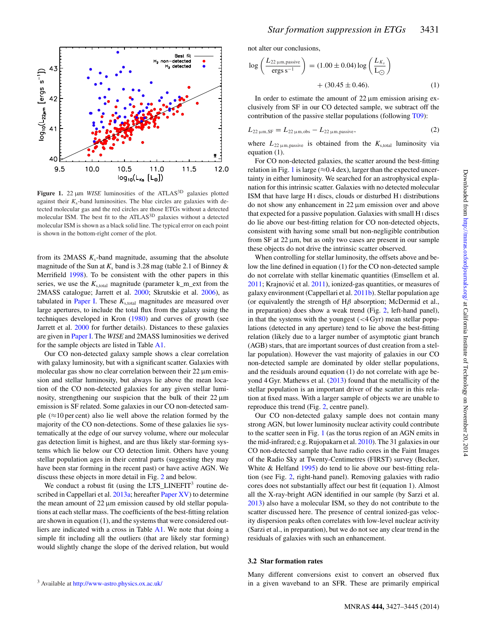<span id="page-4-0"></span>

Figure 1. 22  $\mu$ m *WISE* luminosities of the ATLAS<sup>3D</sup> galaxies plotted against their  $K_s$ -band luminosities. The blue circles are galaxies with detected molecular gas and the red circles are those ETGs without a detected molecular ISM. The best fit to the ATLAS<sup>3D</sup> galaxies without a detected molecular ISM is shown as a black solid line. The typical error on each point is shown in the bottom-right corner of the plot.

from its 2MASS  $K_s$ -band magnitude, assuming that the absolute magnitude of the Sun at  $K_s$  band is 3.28 mag (table 2.1 of Binney  $\&$ Merrifield [1998\)](#page-14-50). To be consistent with the other papers in this series, we use the  $K_{s, total}$  magnitude (parameter k\_m\_ext from the 2MASS catalogue; Jarrett et al. [2000;](#page-14-41) Skrutskie et al. [2006\)](#page-14-40), as tabulated in [Paper I.](#page-14-32) These  $K_{s, total}$  magnitudes are measured over large apertures, to include the total flux from the galaxy using the techniques developed in Kron [\(1980\)](#page-14-51) and curves of growth (see Jarrett et al. [2000](#page-14-41) for further details). Distances to these galaxies are given in [Paper I.](#page-14-32) The *WISE* and 2MASS luminosities we derived for the sample objects are listed in Table [A1.](#page-16-0)

Our CO non-detected galaxy sample shows a clear correlation with galaxy luminosity, but with a significant scatter. Galaxies with molecular gas show no clear correlation between their 22 μm emission and stellar luminosity, but always lie above the mean location of the CO non-detected galaxies for any given stellar luminosity, strengthening our suspicion that the bulk of their 22 μm emission is SF related. Some galaxies in our CO non-detected sample ( $\approx$ 10 per cent) also lie well above the relation formed by the majority of the CO non-detections. Some of these galaxies lie systematically at the edge of our survey volume, where our molecular gas detection limit is highest, and are thus likely star-forming systems which lie below our CO detection limit. Others have young stellar population ages in their central parts (suggesting they may have been star forming in the recent past) or have active AGN. We discuss these objects in more detail in Fig. [2](#page-5-0) and below.

We conduct a robust fit (using the  $LTS\_LINEFIT^3$  routine de-scribed in Cappellari et al. [2013a;](#page-14-52) hereafter [Paper XV\)](#page-14-52) to determine the mean amount of 22 μm emission caused by old stellar populations at each stellar mass. The coefficients of the best-fitting relation are shown in equation (1), and the systems that were considered outliers are indicated with a cross in Table [A1.](#page-16-0) We note that doing a simple fit including all the outliers (that are likely star forming) would slightly change the slope of the derived relation, but would not alter our conclusions,

$$
\log\left(\frac{L_{22\,\mu\text{m},\text{passive}}}{\text{ergs s}^{-1}}\right) = (1.00 \pm 0.04) \log\left(\frac{L_{K_s}}{L_{\odot}}\right) + (30.45 \pm 0.46). \tag{1}
$$

In order to estimate the amount of  $22 \mu m$  emission arising exclusively from SF in our CO detected sample, we subtract off the contribution of the passive stellar populations (following [T09\)](#page-14-21):

$$
L_{22\,\mu\text{m,SF}} = L_{22\,\mu\text{m,obs}} - L_{22\,\mu\text{m,passive}},\tag{2}
$$

where  $L_{22 \mu m, passive}$  is obtained from the  $K_{s, total}$  luminosity via equation (1).

For CO non-detected galaxies, the scatter around the best-fitting relation in Fig. [1](#page-4-0) is large ( $\approx 0.4$  dex), larger than the expected uncertainty in either luminosity. We searched for an astrophysical explanation for this intrinsic scatter. Galaxies with no detected molecular ISM that have large H<sub>I</sub> discs, clouds or disturbed H<sub>I</sub> distributions do not show any enhancement in 22 μm emission over and above that expected for a passive population. Galaxies with small H <sup>I</sup> discs do lie above our best-fitting relation for CO non-detected objects, consistent with having some small but non-negligible contribution from  $SF$  at  $22 \mu m$ , but as only two cases are present in our sample these objects do not drive the intrinsic scatter observed.

When controlling for stellar luminosity, the offsets above and below the line defined in equation (1) for the CO non-detected sample do not correlate with stellar kinematic quantities (Emsellem et al. [2011;](#page-14-53) Krajnović et al. [2011\)](#page-14-54), ionized-gas quantities, or measures of galaxy environment (Cappellari et al. [2011b\)](#page-14-55). Stellar population age (or equivalently the strength of  $H\beta$  absorption; McDermid et al., in preparation) does show a weak trend (Fig. [2,](#page-5-0) left-hand panel), in that the systems with the youngest  $( $4 \text{ Gyr}$ )$  mean stellar populations (detected in any aperture) tend to lie above the best-fitting relation (likely due to a larger number of asymptotic giant branch (AGB) stars, that are important sources of dust creation from a stellar population). However the vast majority of galaxies in our CO non-detected sample are dominated by older stellar populations, and the residuals around equation (1) do not correlate with age be-yond 4 Gyr. Mathews et al. [\(2013\)](#page-14-56) found that the metallicity of the stellar population is an important driver of the scatter in this relation at fixed mass. With a larger sample of objects we are unable to reproduce this trend (Fig. [2,](#page-5-0) centre panel).

Our CO non-detected galaxy sample does not contain many strong AGN, but lower luminosity nuclear activity could contribute to the scatter seen in Fig. [1](#page-4-0) (as the torus region of an AGN emits in the mid-infrared; e.g. Rujopakarn et al. [2010\)](#page-14-57). The 31 galaxies in our CO non-detected sample that have radio cores in the Faint Images of the Radio Sky at Twenty-Centimetres (FIRST) survey (Becker, White & Helfand [1995\)](#page-14-58) do tend to lie above our best-fitting relation (see Fig. [2,](#page-5-0) right-hand panel). Removing galaxies with radio cores does not substantially affect our best fit (equation 1). Almost all the X-ray-bright AGN identified in our sample (by Sarzi et al. [2013\)](#page-14-59) also have a molecular ISM, so they do not contribute to the scatter discussed here. The presence of central ionized-gas velocity dispersion peaks often correlates with low-level nuclear activity (Sarzi et al., in preparation), but we do not see any clear trend in the residuals of galaxies with such an enhancement.

# **3.2 Star formation rates**

Many different conversions exist to convert an observed flux in a given waveband to an SFR. These are primarily empirical

<sup>3</sup> Available at <http://www-astro.physics.ox.ac.uk/>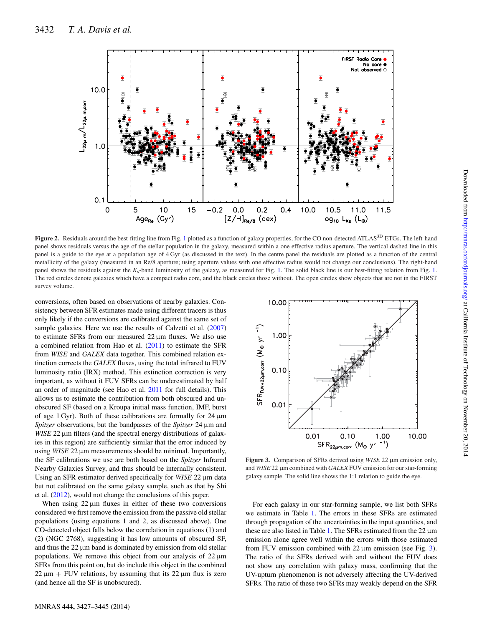<span id="page-5-0"></span>

Figure 2. Residuals around the best-fitting line from Fig. [1](#page-4-0) plotted as a function of galaxy properties, for the CO non-detected ATLAS<sup>3D</sup> ETGs. The left-hand panel shows residuals versus the age of the stellar population in the galaxy, measured within a one effective radius aperture. The vertical dashed line in this panel is a guide to the eye at a population age of 4 Gyr (as discussed in the text). In the centre panel the residuals are plotted as a function of the central metallicity of the galaxy (measured in an Re/8 aperture; using aperture values with one effective radius would not change our conclusions). The right-hand panel shows the residuals against the *K*s-band luminosity of the galaxy, as measured for Fig. [1.](#page-4-0) The solid black line is our best-fitting relation from Fig. [1.](#page-4-0) The red circles denote galaxies which have a compact radio core, and the black circles those without. The open circles show objects that are not in the FIRST survey volume.

conversions, often based on observations of nearby galaxies. Consistency between SFR estimates made using different tracers is thus only likely if the conversions are calibrated against the same set of sample galaxies. Here we use the results of Calzetti et al. [\(2007\)](#page-14-48) to estimate SFRs from our measured 22 μm fluxes. We also use a combined relation from Hao et al. [\(2011\)](#page-14-49) to estimate the SFR from *WISE* and *GALEX* data together. This combined relation extinction corrects the *GALEX* fluxes, using the total infrared to FUV luminosity ratio (IRX) method. This extinction correction is very important, as without it FUV SFRs can be underestimated by half an order of magnitude (see Hao et al. [2011](#page-14-49) for full details). This allows us to estimate the contribution from both obscured and unobscured SF (based on a Kroupa initial mass function, IMF, burst of age 1 Gyr). Both of these calibrations are formally for 24 μm *Spitzer* observations, but the bandpasses of the *Spitzer* 24 μm and *WISE* 22 μm filters (and the spectral energy distributions of galaxies in this region) are sufficiently similar that the error induced by using *WISE* 22 μm measurements should be minimal. Importantly, the SF calibrations we use are both based on the *Spitzer* Infrared Nearby Galaxies Survey, and thus should be internally consistent. Using an SFR estimator derived specifically for *WISE* 22 μm data but not calibrated on the same galaxy sample, such as that by Shi et al. [\(2012\)](#page-14-60), would not change the conclusions of this paper.

When using  $22 \mu m$  fluxes in either of these two conversions considered we first remove the emission from the passive old stellar populations (using equations 1 and 2, as discussed above). One CO-detected object falls below the correlation in equations (1) and (2) (NGC 2768), suggesting it has low amounts of obscured SF, and thus the 22 μm band is dominated by emission from old stellar populations. We remove this object from our analysis of  $22 \mu m$ SFRs from this point on, but do include this object in the combined  $22 \mu m$  + FUV relations, by assuming that its  $22 \mu m$  flux is zero (and hence all the SF is unobscured).

<span id="page-5-1"></span>

**Figure 3.** Comparison of SFRs derived using *WISE* 22 µm emission only, and *WISE* 22 µm combined with *GALEX* FUV emission for our star-forming galaxy sample. The solid line shows the 1:1 relation to guide the eye.

For each galaxy in our star-forming sample, we list both SFRs we estimate in Table [1.](#page-3-0) The errors in these SFRs are estimated through propagation of the uncertainties in the input quantities, and these are also listed in Table [1.](#page-3-0) The SFRs estimated from the 22 μm emission alone agree well within the errors with those estimated from FUV emission combined with  $22 \mu m$  emission (see Fig. [3\)](#page-5-1). The ratio of the SFRs derived with and without the FUV does not show any correlation with galaxy mass, confirming that the UV-upturn phenomenon is not adversely affecting the UV-derived SFRs. The ratio of these two SFRs may weakly depend on the SFR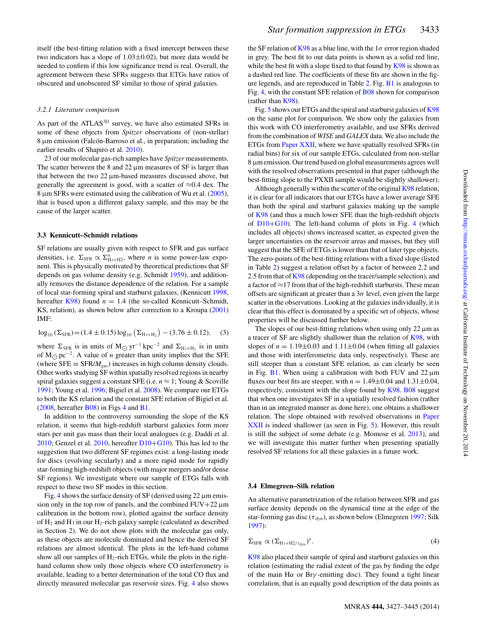itself (the best-fitting relation with a fixed intercept between these two indicators has a slope of  $1.03 \pm 0.02$ ), but more data would be needed to confirm if this low significance trend is real. Overall, the agreement between these SFRs suggests that ETGs have ratios of obscured and unobscured SF similar to those of spiral galaxies.

#### *3.2.1 Literature comparison*

As part of the ATLAS<sup>3D</sup> survey, we have also estimated SFRs in some of these objects from *Spitzer* observations of (non-stellar)  $8 \mu$ m emission (Falcón-Barroso et al., in preparation; including the earlier results of Shapiro et al. [2010\)](#page-14-22).

23 of our molecular gas-rich samples have *Spitzer* measurements. The scatter between the 8 and  $22 \mu m$  measures of SF is larger than that between the two 22 μm-based measures discussed above, but generally the agreement is good, with a scatter of  $\approx 0.4$  dex. The 8 μm SFRs were estimated using the calibration of Wu et al. [\(2005\)](#page-14-61), that is based upon a different galaxy sample, and this may be the cause of the larger scatter.

#### **3.3 Kennicutt–Schmidt relations**

SF relations are usually given with respect to SFR and gas surface densities, i.e.  $\Sigma_{\text{SFR}} \propto \Sigma_{\text{H}_1 + \text{H}_2}^n$ , where *n* is some power-law exponent. This is physically motivated by theoretical predictions that SF depends on gas volume density (e.g. Schmidt [1959\)](#page-14-62), and additionally removes the distance dependence of the relation. For a sample of local star-forming spiral and starburst galaxies, (Kennicutt [1998,](#page-14-63) hereafter [K98\)](#page-14-63) found  $n = 1.4$  (the so-called Kennicutt–Schmidt, KS, relation), as shown below after correction to a Kroupa [\(2001\)](#page-14-64) IMF:

$$
\log_{10} (\Sigma_{\rm SFR}) = (1.4 \pm 0.15) \log_{10} (\Sigma_{\rm H1+H2}) - (3.76 \pm 0.12), \quad (3)
$$

where  $\Sigma_{\rm SFR}$  is in units of M<sub>○</sub> yr<sup>-1</sup> kpc<sup>-2</sup> and  $\Sigma_{\rm H1+H2}$  is in units of M<sub>○</sub> pc<sup>-2</sup>. A value of *n* greater than unity implies that the SFE (where  $SFE \equiv SFR/M_{gas}$ ) increases in high column density clouds. Other works studying SF within spatially resolved regions in nearby spiral galaxies suggest a constant SFE (i.e.  $n \approx 1$ ; Young & Scoville [1991;](#page-14-65) Young et al. [1996;](#page-14-66) Bigiel et al. [2008\)](#page-14-38). We compare our ETGs to both the KS relation and the constant SFE relation of Bigiel et al. [\(2008,](#page-14-38) hereafter [B08\)](#page-14-38) in Figs [4](#page-7-0) and [B1.](#page-17-0)

In addition to the controversy surrounding the slope of the KS relation, it seems that high-redshift starburst galaxies form more stars per unit gas mass than their local analogues (e.g. Daddi et al. [2010;](#page-14-0) Genzel et al.  $2010$ , hereafter  $D10+G10$  $D10+G10$ ). This has led to the suggestion that two different SF regimes exist: a long-lasting mode for discs (evolving secularly) and a more rapid mode for rapidly star-forming high-redshift objects (with major mergers and/or dense SF regions). We investigate where our sample of ETGs falls with respect to these two SF modes in this section.

Fig. [4](#page-7-0) shows the surface density of SF (derived using 22 μm emission only in the top row of panels, and the combined  $FUV+22 \mu m$ calibration in the bottom row), plotted against the surface density of  $H_2$  and H<sub>I</sub> in our H<sub>2</sub>-rich galaxy sample (calculated as described in Section 2). We do not show plots with the molecular gas only, as these objects are molecule dominated and hence the derived SF relations are almost identical. The plots in the left-hand column show all our samples of  $H_2$ -rich ETGs, while the plots in the righthand column show only those objects where CO interferometry is available, leading to a better determination of the total CO flux and directly measured molecular gas reservoir sizes. Fig. [4](#page-7-0) also shows the SF relation of [K98](#page-14-63) as a blue line, with the  $1\sigma$  error region shaded in grey. The best fit to our data points is shown as a solid red line, while the best fit with a slope fixed to that found by  $K98$  is shown as a dashed red line. The coefficients of these fits are shown in the figure legends, and are reproduced in Table [2.](#page-8-0) Fig. [B1](#page-17-0) is analogous to Fig. [4,](#page-7-0) with the constant SFE relation of [B08](#page-14-38) shown for comparison (rather than [K98\)](#page-14-63).

Fig. [5](#page-8-1) shows our ETGs and the spiral and starburst galaxies of [K98](#page-14-63) on the same plot for comparison. We show only the galaxies from this work with CO interferometry available, and use SFRs derived from the combination of *WISE* and *GALEX* data. We also include the ETGs from [Paper XXII,](#page-14-27) where we have spatially resolved SFRs (in radial bins) for six of our sample ETGs, calculated from non-stellar 8 μm emission. Our trend based on global measurements agrees well with the resolved observations presented in that paper (although the best-fitting slope to the PXXII sample would be slightly shallower).

Although generally within the scatter of the original [K98](#page-14-63) relation, it is clear for all indicators that our ETGs have a lower average SFE than both the spiral and starburst galaxies making up the sample of [K98](#page-14-63) (and thus a much lower SFE than the high-redshift objects of [D10](#page-14-0)+[G10\)](#page-14-1). The left-hand column of plots in Fig. [4](#page-7-0) (which includes all objects) shows increased scatter, as expected given the larger uncertainties on the reservoir areas and masses, but they still suggest that the SFE of ETGs is lower than that of later type objects. The zero-points of the best-fitting relations with a fixed slope (listed in Table [2\)](#page-8-0) suggest a relation offset by a factor of between 2.2 and 2.5 from that of [K98](#page-14-63) (depending on the tracer/sample selection), and a factor of ≈17 from that of the high-redshift starbursts. These mean offsets are significant at greater than a  $3\sigma$  level, even given the large scatter in the observations. Looking at the galaxies individually, it is clear that this effect is dominated by a specific set of objects, whose properties will be discussed further below.

The slopes of our best-fitting relations when using only  $22 \mu m$  as a tracer of SF are slightly shallower than the relation of [K98,](#page-14-63) with slopes of  $n = 1.19 \pm 0.03$  and  $1.11 \pm 0.04$  (when fitting all galaxies and those with interferometric data only, respectively). These are still steeper than a constant SFE relation, as can clearly be seen in Fig. [B1.](#page-17-0) When using a calibration with both FUV and  $22 \mu m$ fluxes our best fits are steeper, with  $n = 1.49 \pm 0.04$  and  $1.31 \pm 0.04$ , respectively, consistent with the slope found by [K98.](#page-14-63) [B08](#page-14-38) suggest that when one investigates SF in a spatially resolved fashion (rather than in an integrated manner as done here), one obtains a shallower relation. The slope obtained with resolved observations in [Paper](#page-14-27) [XXII](#page-14-27) is indeed shallower (as seen in Fig. [5\)](#page-8-1). However, this result is still the subject of some debate (e.g. Momose et al. [2013\)](#page-14-67), and we will investigate this matter further when presenting spatially resolved SF relations for all these galaxies in a future work.

#### **3.4 Elmegreen–Silk relation**

An alternative parametrization of the relation between SFR and gas surface density depends on the dynamical time at the edge of the star-forming gas disc ( $\tau_{dyn}$ ), as shown below (Elmegreen [1997;](#page-14-68) Silk [1997\)](#page-14-69):

$$
\Sigma_{\rm SFR} \propto (\Sigma_{\rm H\textsubscript{1}+H2/\tau_{\rm dyn}})^n. \tag{4}
$$

[K98](#page-14-63) also placed their sample of spiral and starburst galaxies on this relation (estimating the radial extent of the gas by finding the edge of the main H $\alpha$  or Br $\gamma$ -emitting disc). They found a tight linear correlation, that is an equally good description of the data points as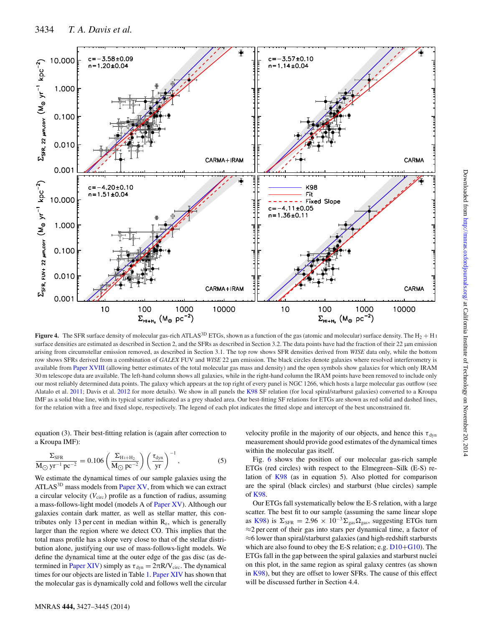<span id="page-7-0"></span>

**Figure 4.** The SFR surface density of molecular gas-rich ATLAS<sup>3D</sup> ETGs, shown as a function of the gas (atomic and molecular) surface density. The H<sub>2</sub> + H<sub>1</sub> surface densities are estimated as described in Section 2, and the SFRs as described in Section 3.2. The data points have had the fraction of their 22 µm emission arising from circumstellar emission removed, as described in Section 3.1. The top row shows SFR densities derived from *WISE* data only, while the bottom row shows SFRs derived from a combination of *GALEX* FUV and *WISE* 22 µm emission. The black circles denote galaxies where resolved interferometry is available from [Paper XVIII](#page-14-36) (allowing better estimates of the total molecular gas mass and density) and the open symbols show galaxies for which only IRAM 30 m telescope data are available. The left-hand column shows all galaxies, while in the right-hand column the IRAM points have been removed to include only our most reliably determined data points. The galaxy which appears at the top right of every panel is NGC 1266, which hosts a large molecular gas outflow (see Alatalo et al. [2011;](#page-13-1) Davis et al. [2012](#page-14-70) for more details). We show in all panels the [K98](#page-14-63) SF relation (for local spiral/starburst galaxies) converted to a Kroupa IMF as a solid blue line, with its typical scatter indicated as a grey shaded area. Our best-fitting SF relations for ETGs are shown as red solid and dashed lines, for the relation with a free and fixed slope, respectively. The legend of each plot indicates the fitted slope and intercept of the best unconstrained fit.

equation (3). Their best-fitting relation is (again after correction to a Kroupa IMF):

$$
\frac{\Sigma_{\rm SFR}}{\rm M_{\odot}\,yr^{-1}\,pc^{-2}} = 0.106 \left(\frac{\Sigma_{\rm H\,i+H_2}}{\rm M_{\odot}\,pc^{-2}}\right) \left(\frac{\tau_{\rm dyn}}{\rm yr}\right)^{-1},\tag{5}
$$

We estimate the dynamical times of our sample galaxies using the ATLAS<sup>3D</sup> mass models from [Paper XV,](#page-14-52) from which we can extract a circular velocity  $(V_{\text{circ}})$  profile as a function of radius, assuming a mass-follows-light model (models A of [Paper XV\)](#page-14-52). Although our galaxies contain dark matter, as well as stellar matter, this contributes only 13 per cent in median within  $R_e$ , which is generally larger than the region where we detect CO. This implies that the total mass profile has a slope very close to that of the stellar distribution alone, justifying our use of mass-follows-light models. We define the dynamical time at the outer edge of the gas disc (as de-termined in [Paper XIV\)](#page-14-35) simply as  $\tau_{dyn} = 2\pi R/V_{circ}$ . The dynamical times for our objects are listed in Table [1.](#page-3-0) [Paper XIV](#page-14-35) has shown that the molecular gas is dynamically cold and follows well the circular

velocity profile in the majority of our objects, and hence this  $\tau_{\text{dyn}}$ measurement should provide good estimates of the dynamical times within the molecular gas itself.

Fig. [6](#page-8-2) shows the position of our molecular gas-rich sample ETGs (red circles) with respect to the Elmegreen–Silk (E-S) relation of [K98](#page-14-63) (as in equation 5). Also plotted for comparison are the spiral (black circles) and starburst (blue circles) sample of [K98.](#page-14-63)

Our ETGs fall systematically below the E-S relation, with a large scatter. The best fit to our sample (assuming the same linear slope as [K98\)](#page-14-63) is  $\Sigma_{\text{SFR}} = 2.96 \times 10^{-3} \Sigma_{\text{gas}} \Omega_{\text{gas}}$ , suggesting ETGs turn ≈2 per cent of their gas into stars per dynamical time, a factor of ≈6 lower than spiral/starburst galaxies (and high-redshift starbursts which are also found to obey the E-S relation; e.g.  $D10+G10$  $D10+G10$ ). The ETGs fall in the gap between the spiral galaxies and starburst nuclei on this plot, in the same region as spiral galaxy centres (as shown in [K98\)](#page-14-63), but they are offset to lower SFRs. The cause of this effect will be discussed further in Section 4.4.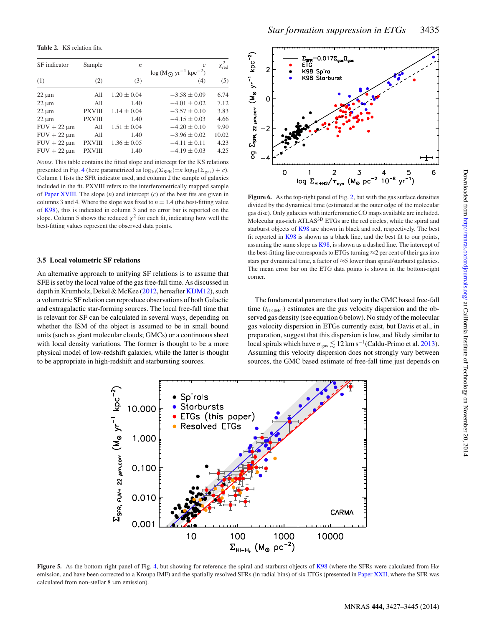<span id="page-8-0"></span>**Table 2.** KS relation fits.

| SF indicator     | Sample        | n               | c<br>$\log(M_{\odot} \, \text{yr}^{-1} \, \text{kpc}^{-2})$ | $\chi^2_{\rm red}$ |
|------------------|---------------|-----------------|-------------------------------------------------------------|--------------------|
| (1)              | (2)           | (3)             | (4)                                                         | (5)                |
| $22 \mu m$       | All           | $1.20 \pm 0.04$ | $-3.58 \pm 0.09$                                            | 6.74               |
| $22 \mu m$       | A11           | 1.40            | $-4.01 \pm 0.02$                                            | 7.12               |
| $22 \mu m$       | <b>PXVIII</b> | $1.14 \pm 0.04$ | $-3.57 \pm 0.10$                                            | 3.83               |
| $22 \mu m$       | <b>PXVIII</b> | 1.40            | $-4.15 \pm 0.03$                                            | 4.66               |
| $FUV + 22 \mu m$ | All           | $1.51 \pm 0.04$ | $-4.20 \pm 0.10$                                            | 9.90               |
| $FUV + 22 \mu m$ | All           | 1.40            | $-3.96 \pm 0.02$                                            | 10.02              |
| $FUV + 22 \mu m$ | <b>PXVIII</b> | $1.36 \pm 0.05$ | $-4.11 \pm 0.11$                                            | 4.23               |
| $FUV + 22 \mu m$ | <b>PXVIII</b> | 1.40            | $-4.19 \pm 0.03$                                            | 4.25               |
|                  |               |                 |                                                             |                    |

*Notes.* This table contains the fitted slope and intercept for the KS relations presented in Fig. [4](#page-7-0) (here parametrized as  $\log_{10}(\Sigma_{SFR})=n \log_{10}(\Sigma_{gas}) + c$ ). Column 1 lists the SFR indicator used, and column 2 the sample of galaxies included in the fit. PXVIII refers to the interferometrically mapped sample of [Paper XVIII.](#page-14-36) The slope (*n*) and intercept (*c*) of the best fits are given in columns 3 and 4. Where the slope was fixed to  $n = 1.4$  (the best-fitting value of [K98\)](#page-14-63), this is indicated in column 3 and no error bar is reported on the slope. Column 5 shows the reduced  $\chi^2$  for each fit, indicating how well the best-fitting values represent the observed data points.

#### **3.5 Local volumetric SF relations**

An alternative approach to unifying SF relations is to assume that SFE is set by the local value of the gas free-fall time. As discussed in depth in Krumholz, Dekel & McKee [\(2012,](#page-14-71) hereafter [KDM12\)](#page-14-71), such a volumetric SF relation can reproduce observations of both Galactic and extragalactic star-forming sources. The local free-fall time that is relevant for SF can be calculated in several ways, depending on whether the ISM of the object is assumed to be in small bound units (such as giant molecular clouds; GMCs) or a continuous sheet with local density variations. The former is thought to be a more physical model of low-redshift galaxies, while the latter is thought to be appropriate in high-redshift and starbursting sources.

<span id="page-8-2"></span>

Figure 6. As the top-right panel of Fig. [2,](#page-5-0) but with the gas surface densities divided by the dynamical time (estimated at the outer edge of the molecular gas disc). Only galaxies with interferometic CO maps available are included. Molecular gas-rich ATLAS<sup>3D</sup> ETGs are the red circles, while the spiral and starburst objects of [K98](#page-14-63) are shown in black and red, respectively. The best fit reported in [K98](#page-14-63) is shown as a black line, and the best fit to our points, assuming the same slope as [K98,](#page-14-63) is shown as a dashed line. The intercept of the best-fitting line corresponds to ETGs turning  $\approx$  2 per cent of their gas into stars per dynamical time, a factor of  $\approx$ 5 lower than spiral/starburst galaxies. The mean error bar on the ETG data points is shown in the bottom-right corner.

The fundamental parameters that vary in the GMC based free-fall time  $(t_{\text{ff,GMC}})$  estimates are the gas velocity dispersion and the observed gas density (see equation 6 below). No study of the molecular gas velocity dispersion in ETGs currently exist, but Davis et al., in preparation, suggest that this dispersion is low, and likely similar to local spirals which have  $\sigma_{\rm gas} \lesssim 12$  km s<sup>-1</sup>(Caldu-Primo et al. [2013\)](#page-14-72). Assuming this velocity dispersion does not strongly vary between sources, the GMC based estimate of free-fall time just depends on

<span id="page-8-1"></span>

**Figure 5.** As the bottom-right panel of Fig. [4,](#page-7-0) but showing for reference the spiral and starburst objects of [K98](#page-14-63) (where the SFRs were calculated from Hα emission, and have been corrected to a Kroupa IMF) and the spatially resolved SFRs (in radial bins) of six ETGs (presented in [Paper XXII,](#page-14-27) where the SFR was calculated from non-stellar 8  $\mu$ m emission).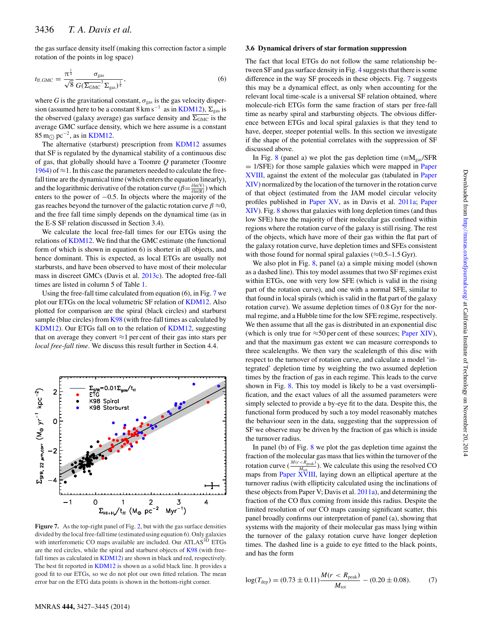the gas surface density itself (making this correction factor a simple rotation of the points in log space)

$$
t_{\rm ff,GMC} = \frac{\pi^{\frac{1}{4}}}{\sqrt{8}} \frac{\sigma_{\rm gas}}{G(\overline{\Sigma_{\rm GMC}}^3 \Sigma_{\rm gas})^{\frac{1}{4}}},\tag{6}
$$

where *G* is the gravitational constant,  $\sigma_{\text{gas}}$  is the gas velocity dispersion (assumed here to be a constant  $8 \text{ km s}^{-1}$  as in [KDM12\)](#page-14-71),  $\Sigma_{\text{gas}}$  is the observed (galaxy average) gas surface density and  $\overline{\Sigma_{\text{GMC}}}$  is the average GMC surface density, which we here assume is a constant  $85 \text{ m}$  pc<sup>-2</sup>, as in [KDM12.](#page-14-71)

The alternative (starburst) prescription from [KDM12](#page-14-71) assumes that SF is regulated by the dynamical stability of a continuous disc of gas, that globally should have a Toomre *Q* parameter (Toomre [1964\)](#page-14-73) of  $\approx$ 1. In this case the parameters needed to calculate the freefall time are the dynamical time (which enters the equation linearly), and the logarithmic derivative of the rotation curve  $(\beta = \frac{\delta \ln(V)}{\delta \ln(R)})$  which enters to the power of  $-0.5$ . In objects where the majority of the gas reaches beyond the turnover of the galactic rotation curve  $\beta \approx 0$ , and the free fall time simply depends on the dynamical time (as in the E-S SF relation discussed in Section 3.4).

We calculate the local free-fall times for our ETGs using the relations of [KDM12.](#page-14-71) We find that the GMC estimate (the functional form of which is shown in equation 6) is shorter in all objects, and hence dominant. This is expected, as local ETGs are usually not starbursts, and have been observed to have most of their molecular mass in discreet GMCs (Davis et al. [2013c\)](#page-14-74). The adopted free-fall times are listed in column 5 of Table [1.](#page-3-0)

Using the free-fall time calculated from equation (6), in Fig. [7](#page-9-0) we plot our ETGs on the local volumetric SF relation of [KDM12.](#page-14-71) Also plotted for comparison are the spiral (black circles) and starburst sample (blue circles) from [K98](#page-14-63) (with free-fall times as calculated by [KDM12\)](#page-14-71). Our ETGs fall on to the relation of [KDM12,](#page-14-71) suggesting that on average they convert  $\approx$ 1 per cent of their gas into stars per *local free-fall time*. We discuss this result further in Section 4.4.

<span id="page-9-0"></span>

Figure 7. As the top-right panel of Fig. [2,](#page-5-0) but with the gas surface densities divided by the local free-fall time (estimated using equation 6). Only galaxies with interferometic CO maps available are included. Our ATLAS<sup>3D</sup> ETGs are the red circles, while the spiral and starburst objects of [K98](#page-14-63) (with free-fall times as calculated in [KDM12\)](#page-14-71) are shown in black and red, respectively. The best fit reported in [KDM12](#page-14-71) is shown as a solid black line. It provides a good fit to our ETGs, so we do not plot our own fitted relation. The mean error bar on the ETG data points is shown in the bottom-right corner.

#### **3.6 Dynamical drivers of star formation suppression**

The fact that local ETGs do not follow the same relationship between SF and gas surface density in Fig. [4](#page-7-0) suggests that there is some difference in the way SF proceeds in these objects. Fig. [7](#page-9-0) suggests this may be a dynamical effect, as only when accounting for the relevant local time-scale is a universal SF relation obtained, where molecule-rich ETGs form the same fraction of stars per free-fall time as nearby spiral and starbursting objects. The obvious difference between ETGs and local spiral galaxies is that they tend to have, deeper, steeper potential wells. In this section we investigate if the shape of the potential correlates with the suppression of SF discussed above.

In Fig. [8](#page-10-0) (panel a) we plot the gas depletion time ( $\equiv M_{gas}/SFR$  $= 1/SFE$ ) for those sample galaxies which were mapped in [Paper](#page-14-36) [XVIII,](#page-14-36) against the extent of the molecular gas (tabulated in [Paper](#page-14-35) [XIV\)](#page-14-35) normalized by the location of the turnover in the rotation curve of that object (estimated from the JAM model circular velocity profiles published in [Paper XV,](#page-14-52) as in Davis et al. [2011a;](#page-14-47) [Paper](#page-14-35) [XIV\)](#page-14-35). Fig. [8](#page-10-0) shows that galaxies with long depletion times (and thus low SFE) have the majority of their molecular gas confined within regions where the rotation curve of the galaxy is still rising. The rest of the objects, which have more of their gas within the flat part of the galaxy rotation curve, have depletion times and SFEs consistent with those found for normal spiral galaxies ( $\approx 0.5-1.5$  Gyr).

We also plot in Fig. [8,](#page-10-0) panel (a) a simple mixing model (shown as a dashed line). This toy model assumes that two SF regimes exist within ETGs, one with very low SFE (which is valid in the rising part of the rotation curve), and one with a normal SFE, similar to that found in local spirals (which is valid in the flat part of the galaxy rotation curve). We assume depletion times of 0.8 Gyr for the normal regime, and a Hubble time for the low SFE regime, respectively. We then assume that all the gas is distributed in an exponential disc (which is only true for  $\approx$  50 per cent of these sources; [Paper XIV\)](#page-14-35), and that the maximum gas extent we can measure corresponds to three scalelengths. We then vary the scalelength of this disc with respect to the turnover of rotation curve, and calculate a model 'integrated' depletion time by weighting the two assumed depletion times by the fraction of gas in each regime. This leads to the curve shown in Fig. [8.](#page-10-0) This toy model is likely to be a vast oversimplification, and the exact values of all the assumed parameters were simply selected to provide a by-eye fit to the data. Despite this, the functional form produced by such a toy model reasonably matches the behaviour seen in the data, suggesting that the suppression of SF we observe may be driven by the fraction of gas which is inside the turnover radius.

In panel (b) of Fig. [8](#page-10-0) we plot the gas depletion time against the fraction of the molecular gas mass that lies within the turnover of the rotation curve ( $\frac{M(r < R_{\text{peak}})}{M_{\text{tot}}}$ ). We calculate this using the resolved CO maps from [Paper XVIII,](#page-14-36) laying down an elliptical aperture at the turnover radius (with ellipticity calculated using the inclinations of these objects from Paper V; Davis et al. [2011a\)](#page-14-47), and determining the fraction of the CO flux coming from inside this radius. Despite the limited resolution of our CO maps causing significant scatter, this panel broadly confirms our interpretation of panel (a), showing that systems with the majority of their molecular gas mass lying within the turnover of the galaxy rotation curve have longer depletion times. The dashed line is a guide to eye fitted to the black points, and has the form

$$
\log(T_{\text{dep}}) = (0.73 \pm 0.11) \frac{M(r < R_{\text{peak}})}{M_{\text{tot}}} - (0.20 \pm 0.08). \tag{7}
$$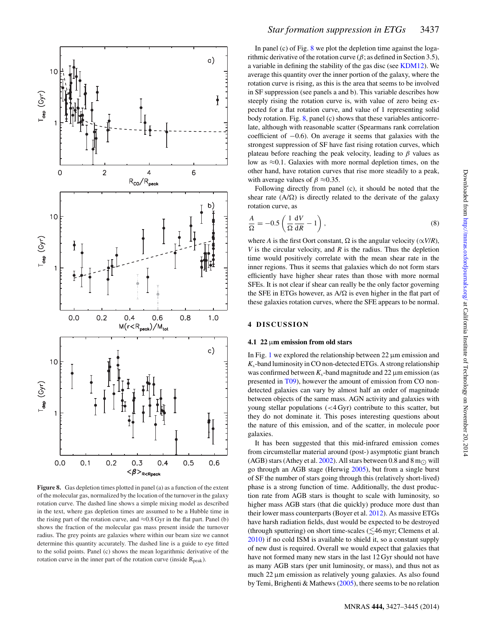<span id="page-10-0"></span>

**Figure 8.** Gas depletion times plotted in panel (a) as a function of the extent of the molecular gas, normalized by the location of the turnover in the galaxy rotation curve. The dashed line shows a simple mixing model as described in the text, where gas depletion times are assumed to be a Hubble time in the rising part of the rotation curve, and  $\approx 0.8$  Gyr in the flat part. Panel (b) shows the fraction of the molecular gas mass present inside the turnover radius. The grey points are galaxies where within our beam size we cannot determine this quantity accurately. The dashed line is a guide to eye fitted to the solid points. Panel (c) shows the mean logarithmic derivative of the rotation curve in the inner part of the rotation curve (inside  $R_{peak}$ ).

In panel (c) of Fig. [8](#page-10-0) we plot the depletion time against the logarithmic derivative of the rotation curve ( $\beta$ ; as defined in Section 3.5), a variable in defining the stability of the gas disc (see [KDM12\)](#page-14-71). We average this quantity over the inner portion of the galaxy, where the rotation curve is rising, as this is the area that seems to be involved in SF suppression (see panels a and b). This variable describes how steeply rising the rotation curve is, with value of zero being expected for a flat rotation curve, and value of 1 representing solid body rotation. Fig. [8,](#page-10-0) panel (c) shows that these variables anticorrelate, although with reasonable scatter (Spearmans rank correlation coefficient of −0.6). On average it seems that galaxies with the strongest suppression of SF have fast rising rotation curves, which plateau before reaching the peak velocity, leading to  $\beta$  values as low as  $\approx 0.1$ . Galaxies with more normal depletion times, on the other hand, have rotation curves that rise more steadily to a peak, with average values of  $\beta \approx 0.35$ .

Following directly from panel (c), it should be noted that the shear rate  $(A/\Omega)$  is directly related to the derivate of the galaxy rotation curve, as

$$
\frac{A}{\Omega} = -0.5 \left( \frac{1}{\Omega} \frac{dV}{dR} - 1 \right),\tag{8}
$$

where *A* is the first Oort constant,  $\Omega$  is the angular velocity ( $\alpha V/R$ ), *V* is the circular velocity, and *R* is the radius. Thus the depletion time would positively correlate with the mean shear rate in the inner regions. Thus it seems that galaxies which do not form stars efficiently have higher shear rates than those with more normal SFEs. It is not clear if shear can really be the only factor governing the SFE in ETGs however, as  $A/\Omega$  is even higher in the flat part of these galaxies rotation curves, where the SFE appears to be normal.

## **4 DISCUSSION**

#### **4.1 22** μ**m emission from old stars**

In Fig. [1](#page-4-0) we explored the relationship between  $22 \mu$ m emission and *K*s-band luminosity in CO non-detected ETGs. A strong relationship was confirmed between  $K_s$ -band magnitude and 22  $\mu$ m emission (as presented in [T09\)](#page-14-21), however the amount of emission from CO nondetected galaxies can vary by almost half an order of magnitude between objects of the same mass. AGN activity and galaxies with young stellar populations (<4 Gyr) contribute to this scatter, but they do not dominate it. This poses interesting questions about the nature of this emission, and of the scatter, in molecule poor galaxies.

It has been suggested that this mid-infrared emission comes from circumstellar material around (post-) asymptotic giant branch (AGB) stars (Athey et al. [2002\)](#page-14-75). All stars between 0.8 and 8 m<sub> $\odot$ </sub> will go through an AGB stage (Herwig [2005\)](#page-14-76), but from a single burst of SF the number of stars going through this (relatively short-lived) phase is a strong function of time. Additionally, the dust production rate from AGB stars is thought to scale with luminosity, so higher mass AGB stars (that die quickly) produce more dust than their lower mass counterparts (Boyer et al. [2012\)](#page-14-77). As massive ETGs have harsh radiation fields, dust would be expected to be destroyed (through sputtering) on short time-scales  $(\lesssim 46$  myr; Clemens et al. [2010\)](#page-14-78) if no cold ISM is available to shield it, so a constant supply of new dust is required. Overall we would expect that galaxies that have not formed many new stars in the last 12 Gyr should not have as many AGB stars (per unit luminosity, or mass), and thus not as much 22 μm emission as relatively young galaxies. As also found by Temi, Brighenti & Mathews [\(2005\)](#page-14-79), there seems to be no relation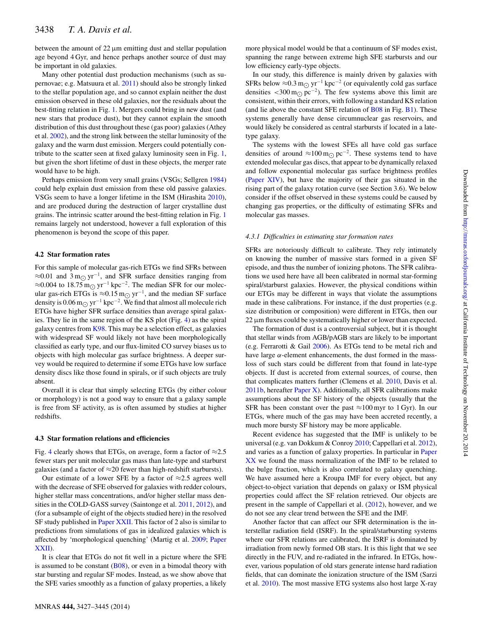between the amount of 22 μm emitting dust and stellar population age beyond 4 Gyr, and hence perhaps another source of dust may be important in old galaxies.

Many other potential dust production mechanisms (such as supernovae; e.g. Matsuura et al. [2011\)](#page-14-80) should also be strongly linked to the stellar population age, and so cannot explain neither the dust emission observed in these old galaxies, nor the residuals about the best-fitting relation in Fig. [1.](#page-4-0) Mergers could bring in new dust (and new stars that produce dust), but they cannot explain the smooth distribution of this dust throughout these (gas poor) galaxies (Athey et al. [2002\)](#page-14-75), and the strong link between the stellar luminosity of the galaxy and the warm dust emission. Mergers could potentially contribute to the scatter seen at fixed galaxy luminosity seen in Fig. [1,](#page-4-0) but given the short lifetime of dust in these objects, the merger rate would have to be high.

Perhaps emission from very small grains (VSGs; Sellgren [1984\)](#page-14-81) could help explain dust emission from these old passive galaxies. VSGs seem to have a longer lifetime in the ISM (Hirashita [2010\)](#page-14-82), and are produced during the destruction of larger crystalline dust grains. The intrinsic scatter around the best-fitting relation in Fig. [1](#page-4-0) remains largely not understood, however a full exploration of this phenomenon is beyond the scope of this paper.

#### **4.2 Star formation rates**

For this sample of molecular gas-rich ETGs we find SFRs between ≈0.01 and 3 m<sub>⊙</sub> yr<sup>-1</sup>, and SFR surface densities ranging from ≈0.004 to 18.75 m<sub> $\odot$ </sub> yr<sup>-1</sup> kpc<sup>-2</sup>. The median SFR for our molecular gas-rich ETGs is ≈0.15 m<sub> $\odot$ </sub> yr<sup>-1</sup>, and the median SF surface density is 0.06 m<sub> $\odot$ </sub> yr<sup>-1</sup> kpc<sup>-2</sup>. We find that almost all molecule rich ETGs have higher SFR surface densities than average spiral galaxies. They lie in the same region of the KS plot (Fig. [4\)](#page-7-0) as the spiral galaxy centres from [K98.](#page-14-63) This may be a selection effect, as galaxies with widespread SF would likely not have been morphologically classified as early type, and our flux-limited CO survey biases us to objects with high molecular gas surface brightness. A deeper survey would be required to determine if some ETGs have low surface density discs like those found in spirals, or if such objects are truly absent.

Overall it is clear that simply selecting ETGs (by either colour or morphology) is not a good way to ensure that a galaxy sample is free from SF activity, as is often assumed by studies at higher redshifts.

#### **4.3 Star formation relations and efficiencies**

Fig. [4](#page-7-0) clearly shows that ETGs, on average, form a factor of  $\approx 2.5$ fewer stars per unit molecular gas mass than late-type and starburst galaxies (and a factor of  $\approx$ 20 fewer than high-redshift starbursts).

Our estimate of a lower SFE by a factor of  $\approx$ 2.5 agrees well with the decrease of SFE observed for galaxies with redder colours, higher stellar mass concentrations, and/or higher stellar mass densities in the COLD-GASS survey (Saintonge et al. [2011,](#page-14-26) [2012\)](#page-14-24), and (for a subsample of eight of the objects studied here) in the resolved SF study published in [Paper XXII.](#page-14-27) This factor of 2 also is similar to predictions from simulations of gas in idealized galaxies which is affected by 'morphological quenching' (Martig et al. [2009;](#page-14-29) [Paper](#page-14-27) [XXII\)](#page-14-27).

It is clear that ETGs do not fit well in a picture where the SFE is assumed to be constant  $(B08)$ , or even in a bimodal theory with star bursting and regular SF modes. Instead, as we show above that the SFE varies smoothly as a function of galaxy properties, a likely

more physical model would be that a continuum of SF modes exist, spanning the range between extreme high SFE starbursts and our low efficiency early-type objects.

In our study, this difference is mainly driven by galaxies with SFRs below  $\approx 0.3 \,\text{m}$ <sub> $\odot$ </sub> yr<sup>-1</sup> kpc<sup>-2</sup> (or equivalently cold gas surface densities <300 m<sub> $\odot$ </sub> pc<sup>-2</sup>). The few systems above this limit are consistent, within their errors, with following a standard KS relation (and lie above the constant SFE relation of  $B<sub>08</sub>$  in Fig. [B1\)](#page-17-0). These systems generally have dense circumnuclear gas reservoirs, and would likely be considered as central starbursts if located in a latetype galaxy.

The systems with the lowest SFEs all have cold gas surface densities of around ≈100 m<sub> $\odot$ </sub> pc<sup>-2</sup>. These systems tend to have extended molecular gas discs, that appear to be dynamically relaxed and follow exponential molecular gas surface brightness profiles [\(Paper XIV\)](#page-14-35), but have the majority of their gas situated in the rising part of the galaxy rotation curve (see Section 3.6). We below consider if the offset observed in these systems could be caused by changing gas properties, or the difficulty of estimating SFRs and molecular gas masses.

#### *4.3.1 Difficulties in estimating star formation rates*

SFRs are notoriously difficult to calibrate. They rely intimately on knowing the number of massive stars formed in a given SF episode, and thus the number of ionizing photons. The SFR calibrations we used here have all been calibrated in normal star-forming spiral/starburst galaxies. However, the physical conditions within our ETGs may be different in ways that violate the assumptions made in these calibrations. For instance, if the dust properties (e.g. size distribution or composition) were different in ETGs, then our 22 μm fluxes could be systematically higher or lower than expected.

The formation of dust is a controversial subject, but it is thought that stellar winds from AGB/pAGB stars are likely to be important (e.g. Ferrarotti & Gail [2006\)](#page-14-83). As ETGs tend to be metal rich and have large  $\alpha$ -element enhancements, the dust formed in the massloss of such stars could be different from that found in late-type objects. If dust is accreted from external sources, of course, then that complicates matters further (Clemens et al. [2010,](#page-14-78) Davis et al. [2011b,](#page-14-84) hereafter [Paper X\)](#page-14-84). Additionally, all SFR calibrations make assumptions about the SF history of the objects (usually that the SFR has been constant over the past  $\approx$ 100 myr to 1 Gyr). In our ETGs, where much of the gas may have been accreted recently, a much more bursty SF history may be more applicable.

Recent evidence has suggested that the IMF is unlikely to be universal (e.g. van Dokkum & Conroy [2010;](#page-14-85) Cappellari et al. [2012\)](#page-14-86), and varies as a function of galaxy properties. In particular in [Paper](#page-14-23) [XX](#page-14-23) we found the mass normalization of the IMF to be related to the bulge fraction, which is also correlated to galaxy quenching. We have assumed here a Kroupa IMF for every object, but any object-to-object variation that depends on galaxy or ISM physical properties could affect the SF relation retrieved. Our objects are present in the sample of Cappellari et al. [\(2012\)](#page-14-86), however, and we do not see any clear trend between the SFE and the IMF.

Another factor that can affect our SFR determination is the interstellar radiation field (ISRF). In the spiral/starbursting systems where our SFR relations are calibrated, the ISRF is dominated by irradiation from newly formed OB stars. It is this light that we see directly in the FUV, and re-radiated in the infrared. In ETGs, however, various population of old stars generate intense hard radiation fields, that can dominate the ionization structure of the ISM (Sarzi et al. [2010\)](#page-14-87). The most massive ETG systems also host large X-ray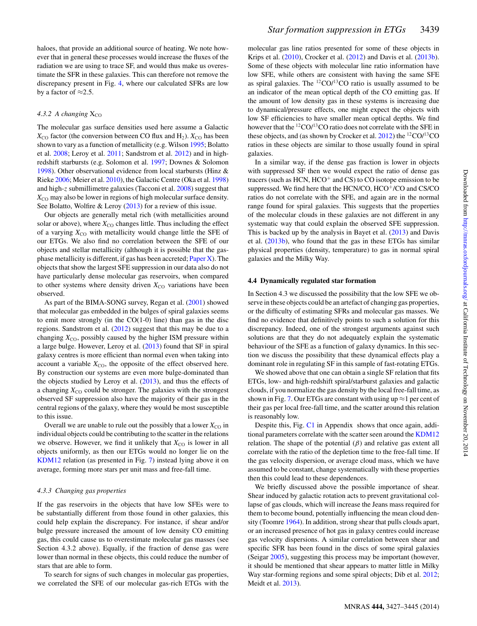haloes, that provide an additional source of heating. We note however that in general these processes would increase the fluxes of the radiation we are using to trace SF, and would thus make us overestimate the SFR in these galaxies. This can therefore not remove the discrepancy present in Fig. [4,](#page-7-0) where our calculated SFRs are low by a factor of  $\approx$ 2.5.

#### 4.3.2 A changing  $X_{CO}$

The molecular gas surface densities used here assume a Galactic  $X_{\text{CO}}$  factor (the conversion between CO flux and H<sub>2</sub>).  $X_{\text{CO}}$  has been shown to vary as a function of metallicity (e.g. Wilson [1995;](#page-14-88) Bolatto et al. [2008;](#page-14-89) Leroy et al. [2011;](#page-14-90) Sandstrom et al. [2012\)](#page-14-91) and in highredshift starbursts (e.g. Solomon et al. [1997;](#page-14-92) Downes & Solomon [1998\)](#page-14-93). Other observational evidence from local starbursts (Hinz & Rieke [2006;](#page-14-94) Meier et al. [2010\)](#page-14-95), the Galactic Centre (Oka et al. [1998\)](#page-14-96) and high-z submillimetre galaxies (Tacconi et al. [2008\)](#page-14-97) suggest that *X*<sub>CO</sub> may also be lower in regions of high molecular surface density. See Bolatto, Wolfire & Leroy [\(2013\)](#page-14-98) for a review of this issue.

Our objects are generally metal rich (with metallicities around solar or above), where  $X_{\text{CO}}$  changes little. Thus including the effect of a varying  $X_{\text{CO}}$  with metallicity would change little the SFE of our ETGs. We also find no correlation between the SFE of our objects and stellar metallicity (although it is possible that the gasphase metallicity is different, if gas has been accreted; [Paper X\)](#page-14-84). The objects that show the largest SFE suppression in our data also do not have particularly dense molecular gas reservoirs, when compared to other systems where density driven  $X_{\text{CO}}$  variations have been observed.

As part of the BIMA-SONG survey, Regan et al. [\(2001\)](#page-14-99) showed that molecular gas embedded in the bulges of spiral galaxies seems to emit more strongly (in the CO(1-0) line) than gas in the disc regions. Sandstrom et al. [\(2012\)](#page-14-91) suggest that this may be due to a changing  $X_{\text{CO}}$ , possibly caused by the higher ISM pressure within a large bulge. However, Leroy et al. [\(2013\)](#page-14-100) found that SF in spiral galaxy centres is more efficient than normal even when taking into account a variable  $X_{\text{CO}}$ , the opposite of the effect observed here. By construction our systems are even more bulge-dominated than the objects studied by Leroy et al. [\(2013\)](#page-14-100), and thus the effects of a changing  $X_{\text{CO}}$  could be stronger. The galaxies with the strongest observed SF suppression also have the majority of their gas in the central regions of the galaxy, where they would be most susceptible to this issue.

Overall we are unable to rule out the possibly that a lower  $X_{\text{CO}}$  in individual objects could be contributing to the scatter in the relations we observe. However, we find it unlikely that  $X_{\text{CO}}$  is lower in all objects uniformly, as then our ETGs would no longer lie on the [KDM12](#page-14-71) relation (as presented in Fig. [7\)](#page-9-0) instead lying above it on average, forming more stars per unit mass and free-fall time.

#### *4.3.3 Changing gas properties*

If the gas reservoirs in the objects that have low SFEs were to be substantially different from those found in other galaxies, this could help explain the discrepancy. For instance, if shear and/or bulge pressure increased the amount of low density CO emitting gas, this could cause us to overestimate molecular gas masses (see Section 4.3.2 above). Equally, if the fraction of dense gas were lower than normal in these objects, this could reduce the number of stars that are able to form.

To search for signs of such changes in molecular gas properties, we correlated the SFE of our molecular gas-rich ETGs with the molecular gas line ratios presented for some of these objects in Krips et al. [\(2010\)](#page-14-101), Crocker et al. [\(2012\)](#page-14-102) and Davis et al. [\(2013b\)](#page-14-103). Some of these objects with molecular line ratio information have low SFE, while others are consistent with having the same SFE as spiral galaxies. The  ${}^{12}CO/{}^{13}CO$  ratio is usually assumed to be an indicator of the mean optical depth of the CO emitting gas. If the amount of low density gas in these systems is increasing due to dynamical/pressure effects, one might expect the objects with low SF efficiencies to have smaller mean optical depths. We find however that the  ${}^{12}CO / {}^{13}CO$  ratio does not correlate with the SFE in these objects, and (as shown by Crocker et al.  $2012$ ) the <sup>12</sup>CO/<sup>13</sup>CO ratios in these objects are similar to those usually found in spiral galaxies.

In a similar way, if the dense gas fraction is lower in objects with suppressed SF then we would expect the ratio of dense gas tracers (such as HCN, HCO<sup>+</sup> and CS) to CO isotope emission to be suppressed. We find here that the HCN/CO, HCO<sup>+</sup>/CO and CS/CO ratios do not correlate with the SFE, and again are in the normal range found for spiral galaxies. This suggests that the properties of the molecular clouds in these galaxies are not different in any systematic way that could explain the observed SFE suppression. This is backed up by the analysis in Bayet et al. [\(2013\)](#page-14-104) and Davis et al. [\(2013b\)](#page-14-103), who found that the gas in these ETGs has similar physical properties (density, temperature) to gas in normal spiral galaxies and the Milky Way.

#### **4.4 Dynamically regulated star formation**

In Section 4.3 we discussed the possibility that the low SFE we observe in these objects could be an artefact of changing gas properties, or the difficulty of estimating SFRs and molecular gas masses. We find no evidence that definitively points to such a solution for this discrepancy. Indeed, one of the strongest arguments against such solutions are that they do not adequately explain the systematic behaviour of the SFE as a function of galaxy dynamics. In this section we discuss the possibility that these dynamical effects play a dominant role in regulating SF in this sample of fast-rotating ETGs.

We showed above that one can obtain a single SF relation that fits ETGs, low- and high-redshift spiral/starburst galaxies and galactic clouds, if you normalize the gas density by the local free-fall time, as shown in Fig. [7.](#page-9-0) Our ETGs are constant with using up  $\approx$  1 per cent of their gas per local free-fall time, and the scatter around this relation is reasonably low.

Despite this, Fig. [C1](#page-18-22) in Appendix shows that once again, additional parameters correlate with the scatter seen around the [KDM12](#page-14-71) relation. The shape of the potential  $(\beta)$  and relative gas extent all correlate with the ratio of the depletion time to the free-fall time. If the gas velocity dispersion, or average cloud mass, which we have assumed to be constant, change systematically with these properties then this could lead to these dependences.

We briefly discussed above the possible importance of shear. Shear induced by galactic rotation acts to prevent gravitational collapse of gas clouds, which will increase the Jeans mass required for them to become bound, potentially influencing the mean cloud density (Toomre [1964\)](#page-14-73). In addition, strong shear that pulls clouds apart, or an increased presence of hot gas in galaxy centres could increase gas velocity dispersions. A similar correlation between shear and specific SFR has been found in the discs of some spiral galaxies (Seigar [2005\)](#page-14-105), suggesting this process may be important (however, it should be mentioned that shear appears to matter little in Milky Way star-forming regions and some spiral objects; Dib et al. [2012;](#page-14-106) Meidt et al. [2013\)](#page-14-31).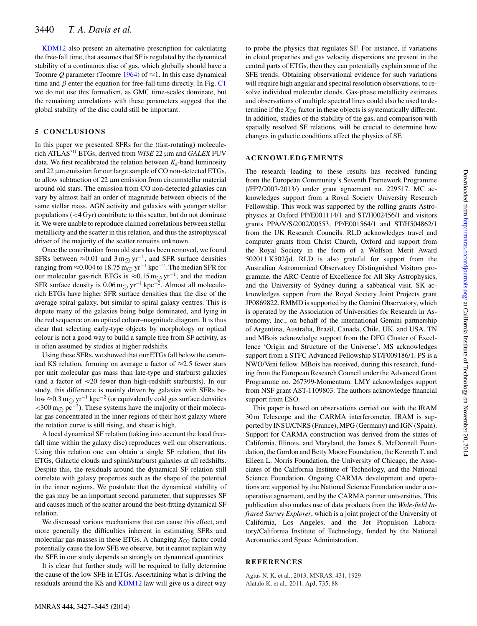[KDM12](#page-14-71) also present an alternative prescription for calculating the free-fall time, that assumes that SF is regulated by the dynamical stability of a continuous disc of gas, which globally should have a Toomre *Q* parameter (Toomre [1964\)](#page-14-73) of  $\approx$ 1. In this case dynamical time and  $\beta$  enter the equation for free-fall time directly. In Fig. [C1](#page-18-22) we do not use this formalism, as GMC time-scales dominate, but the remaining correlations with these parameters suggest that the global stability of the disc could still be important.

# **5 CONCLUSIONS**

In this paper we presented SFRs for the (fast-rotating) moleculerich ATLAS3D ETGs, derived from *WISE* 22 μm and *GALEX* FUV data. We first recalibrated the relation between  $K_s$ -band luminosity and 22 μm emission for our large sample of CO non-detected ETGs, to allow subtraction of 22 μm emission from circumstellar material around old stars. The emission from CO non-detected galaxies can vary by almost half an order of magnitude between objects of the same stellar mass. AGN activity and galaxies with younger stellar populations (<4 Gyr) contribute to this scatter, but do not dominate it. We were unable to reproduce claimed correlations between stellar metallicity and the scatter in this relation, and thus the astrophysical driver of the majority of the scatter remains unknown.

Once the contribution from old stars has been removed, we found SFRs between  $\approx 0.01$  and 3 m<sub>⊙</sub> yr<sup>-1</sup>, and SFR surface densities ranging from ≈0.004 to 18.75 m<sub>O</sub> yr<sup>-1</sup> kpc<sup>-2</sup>. The median SFR for our molecular gas-rich ETGs is ≈0.15 m<sub> $\odot$ </sub> yr<sup>-1</sup>, and the median SFR surface density is  $0.06 \text{ m}$  yr<sup>-1</sup> kpc<sup>-2</sup>. Almost all moleculerich ETGs have higher SFR surface densities than the disc of the average spiral galaxy, but similar to spiral galaxy centres. This is depute many of the galaxies being bulge dominated, and lying in the red sequence on an optical colour–magnitude diagram. It is thus clear that selecting early-type objects by morphology or optical colour is not a good way to build a sample free from SF activity, as is often assumed by studies at higher redshifts.

Using these SFRs, we showed that our ETGs fall below the canonical KS relation, forming on average a factor of  $\approx$ 2.5 fewer stars per unit molecular gas mass than late-type and starburst galaxies (and a factor of  $\approx$ 20 fewer than high-redshift starbursts). In our study, this difference is mainly driven by galaxies with SFRs below ≈0.3 m<sub>O</sub> yr<sup>-1</sup> kpc<sup>-2</sup> (or equivalently cold gas surface densities  $<$ 300 m<sub> $\odot$ </sub> pc<sup>-2</sup>). These systems have the majority of their molecular gas concentrated in the inner regions of their host galaxy where the rotation curve is still rising, and shear is high.

A local dynamical SF relation (taking into account the local freefall time within the galaxy disc) reproduces well our observations. Using this relation one can obtain a single SF relation, that fits ETGs, Galactic clouds and spiral/starburst galaxies at all redshifts. Despite this, the residuals around the dynamical SF relation still correlate with galaxy properties such as the shape of the potential in the inner regions. We postulate that the dynamical stability of the gas may be an important second parameter, that suppresses SF and causes much of the scatter around the best-fitting dynamical SF relation.

We discussed various mechanisms that can cause this effect, and more generally the difficulties inherent in estimating SFRs and molecular gas masses in these ETGs. A changing  $X_{\rm CO}$  factor could potentially cause the low SFE we observe, but it cannot explain why the SFE in our study depends so strongly on dynamical quantities.

It is clear that further study will be required to fully determine the cause of the low SFE in ETGs. Ascertaining what is driving the residuals around the KS and [KDM12](#page-14-71) law will give us a direct way to probe the physics that regulates SF. For instance, if variations in cloud properties and gas velocity dispersions are present in the central parts of ETGs, then they can potentially explain some of the SFE trends. Obtaining observational evidence for such variations will require high angular and spectral resolution observations, to resolve individual molecular clouds. Gas-phase metallicity estimates and observations of multiple spectral lines could also be used to determine if the  $X_{\rm CO}$  factor in these objects is systematically different. In addition, studies of the stability of the gas, and comparison with spatially resolved SF relations, will be crucial to determine how changes in galactic conditions affect the physics of SF.

# **ACKNOWLEDGEMENTS**

The research leading to these results has received funding from the European Community's Seventh Framework Programme (/FP7/2007-2013/) under grant agreement no. 229517. MC acknowledges support from a Royal Society University Research Fellowship. This work was supported by the rolling grants Astrophysics at Oxford PP/E001114/1 and ST/H002456/1 and visitors grants PPA/V/S/2002/00553, PP/E001564/1 and ST/H504862/1 from the UK Research Councils. RLD acknowledges travel and computer grants from Christ Church, Oxford and support from the Royal Society in the form of a Wolfson Merit Award 502011.K502/jd. RLD is also grateful for support from the Australian Astronomical Observatory Distinguished Visitors programme, the ARC Centre of Excellence for All Sky Astrophysics, and the University of Sydney during a sabbatical visit. SK acknowledges support from the Royal Society Joint Projects grant JP0869822. RMMD is supported by the Gemini Observatory, which is operated by the Association of Universities for Research in Astronomy, Inc., on behalf of the international Gemini partnership of Argentina, Australia, Brazil, Canada, Chile, UK, and USA. TN and MBois acknowledge support from the DFG Cluster of Excellence 'Origin and Structure of the Universe'. MS acknowledges support from a STFC Advanced Fellowship ST/F009186/1. PS is a NWO/Veni fellow. MBois has received, during this research, funding from the European Research Council under the Advanced Grant Programme no. 267399-Momentum. LMY acknowledges support from NSF grant AST-1109803. The authors acknowledge financial support from ESO.

This paper is based on observations carried out with the IRAM 30 m Telescope and the CARMA interferometer. IRAM is supported by INSU/CNRS (France), MPG (Germany) and IGN (Spain). Support for CARMA construction was derived from the states of California, Illinois, and Maryland, the James S. McDonnell Foundation, the Gordon and Betty Moore Foundation, the Kenneth T. and Eileen L. Norris Foundation, the University of Chicago, the Associates of the California Institute of Technology, and the National Science Foundation. Ongoing CARMA development and operations are supported by the National Science Foundation under a cooperative agreement, and by the CARMA partner universities. This publication also makes use of data products from the *Wide-field Infrared Survey Explorer*, which is a joint project of the University of California, Los Angeles, and the Jet Propulsion Laboratory/California Institute of Technology, funded by the National Aeronautics and Space Administration.

# **REFERENCES**

<span id="page-13-1"></span><span id="page-13-0"></span>Agius N. K. et al., 2013, MNRAS, 431, 1929 Alatalo K. et al., 2011, ApJ, 735, 88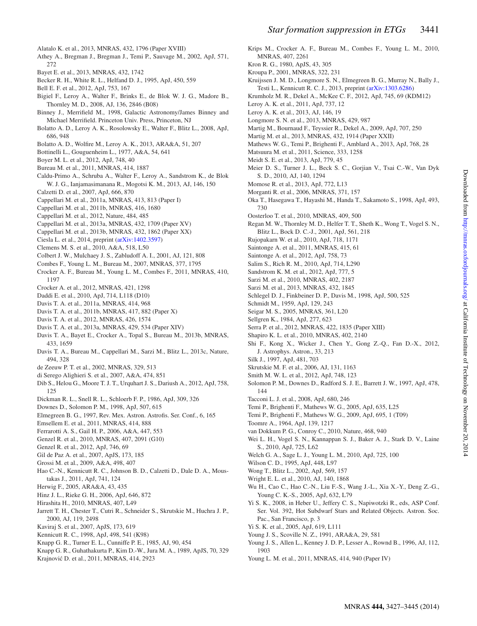Downloaded from http://mnras.oxfordjournals.org/ at California Institute of Technology on November 20, 2014 Downloaded from <http://mnras.oxfordjournals.org/> at California Institute of Technology on November 20, 2014

- <span id="page-14-36"></span>Alatalo K. et al., 2013, MNRAS, 432, 1796 (Paper XVIII)
- <span id="page-14-75"></span>Athey A., Bregman J., Bregman J., Temi P., Sauvage M., 2002, ApJ, 571, 272
- <span id="page-14-104"></span>Bayet E. et al., 2013, MNRAS, 432, 1742
- <span id="page-14-58"></span>Becker R. H., White R. L., Helfand D. J., 1995, ApJ, 450, 559
- <span id="page-14-25"></span>Bell E. F. et al., 2012, ApJ, 753, 167
- <span id="page-14-38"></span>Bigiel F., Leroy A., Walter F., Brinks E., de Blok W. J. G., Madore B., Thornley M. D., 2008, AJ, 136, 2846 (B08)
- <span id="page-14-50"></span>Binney J., Merrifield M., 1998, Galactic Astronomy/James Binney and Michael Merrifield. Princeton Univ. Press, Princeton, NJ
- <span id="page-14-89"></span>Bolatto A. D., Leroy A. K., Rosolowsky E., Walter F., Blitz L., 2008, ApJ, 686, 948
- <span id="page-14-98"></span>Bolatto A. D., Wolfire M., Leroy A. K., 2013, ARA&A, 51, 207
- <span id="page-14-3"></span>Bottinelli L., Gouguenheim L., 1977, A&A, 54, 641
- <span id="page-14-77"></span>Boyer M. L. et al., 2012, ApJ, 748, 40
- <span id="page-14-43"></span>Bureau M. et al., 2011, MNRAS, 414, 1887
- <span id="page-14-72"></span>Caldu-Primo A., Schruba A., Walter F., Leroy A., Sandstrom K., de Blok W. J. G., Ianjamasimanana R., Mogotsi K. M., 2013, AJ, 146, 150
- <span id="page-14-48"></span>Calzetti D. et al., 2007, ApJ, 666, 870
- <span id="page-14-32"></span>Cappellari M. et al., 2011a, MNRAS, 413, 813 (Paper I)
- <span id="page-14-55"></span>Cappellari M. et al., 2011b, MNRAS, 416, 1680
- <span id="page-14-86"></span>Cappellari M. et al., 2012, Nature, 484, 485
- <span id="page-14-52"></span>Cappellari M. et al., 2013a, MNRAS, 432, 1709 (Paper XV)
- <span id="page-14-23"></span>Cappellari M. et al., 2013b, MNRAS, 432, 1862 (Paper XX)
- <span id="page-14-39"></span>Ciesla L. et al., 2014, preprint [\(arXiv:1402.3597\)](http://arxiv.org/abs/1402.3597)
- <span id="page-14-78"></span>Clemens M. S. et al., 2010, A&A, 518, L50
- <span id="page-14-10"></span>Colbert J. W., Mulchaey J. S., Zabludoff A. I., 2001, AJ, 121, 808
- <span id="page-14-12"></span>Combes F., Young L. M., Bureau M., 2007, MNRAS, 377, 1795
- <span id="page-14-19"></span>Crocker A. F., Bureau M., Young L. M., Combes F., 2011, MNRAS, 410, 1197
- <span id="page-14-102"></span>Crocker A. et al., 2012, MNRAS, 421, 1298
- <span id="page-14-0"></span>Daddi E. et al., 2010, ApJ, 714, L118 (D10)
- <span id="page-14-47"></span>Davis T. A. et al., 2011a, MNRAS, 414, 968
- <span id="page-14-84"></span>Davis T. A. et al., 2011b, MNRAS, 417, 882 (Paper X)
- <span id="page-14-70"></span>Davis T. A. et al., 2012, MNRAS, 426, 1574
- <span id="page-14-35"></span>Davis T. A. et al., 2013a, MNRAS, 429, 534 (Paper XIV)
- <span id="page-14-103"></span>Davis T. A., Bayet E., Crocker A., Topal S., Bureau M., 2013b, MNRAS, 433, 1659
- <span id="page-14-74"></span>Davis T. A., Bureau M., Cappellari M., Sarzi M., Blitz L., 2013c, Nature, 494, 328
- <span id="page-14-46"></span>de Zeeuw P. T. et al., 2002, MNRAS, 329, 513
- <span id="page-14-6"></span>di Serego Alighieri S. et al., 2007, A&A, 474, 851
- <span id="page-14-106"></span>Dib S., Helou G., Moore T. J. T., Urquhart J. S., Dariush A., 2012, ApJ, 758, 125
- <span id="page-14-34"></span>Dickman R. L., Snell R. L., Schloerb F. P., 1986, ApJ, 309, 326
- <span id="page-14-93"></span>Downes D., Solomon P. M., 1998, ApJ, 507, 615
- <span id="page-14-68"></span>Elmegreen B. G., 1997, Rev. Mex. Astron. Astrofis. Ser. Conf., 6, 165
- <span id="page-14-53"></span>Emsellem E. et al., 2011, MNRAS, 414, 888
- <span id="page-14-83"></span>Ferrarotti A. S., Gail H. P., 2006, A&A, 447, 553
- <span id="page-14-1"></span>Genzel R. et al., 2010, MNRAS, 407, 2091 (G10)
- <span id="page-14-2"></span>Genzel R. et al., 2012, ApJ, 746, 69
- <span id="page-14-45"></span>Gil de Paz A. et al., 2007, ApJS, 173, 185
- <span id="page-14-7"></span>Grossi M. et al., 2009, A&A, 498, 407
- <span id="page-14-49"></span>Hao C.-N., Kennicutt R. C., Johnson B. D., Calzetti D., Dale D. A., Moustakas J., 2011, ApJ, 741, 124
- <span id="page-14-76"></span>Herwig F., 2005, ARA&A, 43, 435
- <span id="page-14-94"></span>Hinz J. L., Rieke G. H., 2006, ApJ, 646, 872
- <span id="page-14-82"></span>Hirashita H., 2010, MNRAS, 407, L49
- <span id="page-14-41"></span>Jarrett T. H., Chester T., Cutri R., Schneider S., Skrutskie M., Huchra J. P., 2000, AJ, 119, 2498
- <span id="page-14-16"></span>Kaviraj S. et al., 2007, ApJS, 173, 619
- <span id="page-14-63"></span>Kennicutt R. C., 1998, ApJ, 498, 541 (K98)
- <span id="page-14-4"></span>Knapp G. R., Turner E. L., Cunniffe P. E., 1985, AJ, 90, 454
- <span id="page-14-20"></span>Knapp G. R., Guhathakurta P., Kim D.-W., Jura M. A., 1989, ApJS, 70, 329
- <span id="page-14-54"></span>Krajnović D. et al., 2011, MNRAS, 414, 2923
- <span id="page-14-101"></span>Krips M., Crocker A. F., Bureau M., Combes F., Young L. M., 2010, MNRAS, 407, 2261
- <span id="page-14-51"></span>Kron R. G., 1980, ApJS, 43, 305
- <span id="page-14-64"></span>Kroupa P., 2001, MNRAS, 322, 231
- <span id="page-14-30"></span>Kruijssen J. M. D., Longmore S. N., Elmegreen B. G., Murray N., Bally J., Testi L., Kennicutt R. C. J., 2013, preprint [\(arXiv:1303.6286\)](http://arxiv.org/abs/1303.6286)
- <span id="page-14-71"></span>Krumholz M. R., Dekel A., McKee C. F., 2012, ApJ, 745, 69 (KDM12)
- <span id="page-14-90"></span>Leroy A. K. et al., 2011, ApJ, 737, 12
- <span id="page-14-100"></span>Leroy A. K. et al., 2013, AJ, 146, 19
- <span id="page-14-28"></span>Longmore S. N. et al., 2013, MNRAS, 429, 987
- <span id="page-14-29"></span>Martig M., Bournaud F., Teyssier R., Dekel A., 2009, ApJ, 707, 250
- <span id="page-14-27"></span>Martig M. et al., 2013, MNRAS, 432, 1914 (Paper XXII)
- <span id="page-14-56"></span>Mathews W. G., Temi P., Brighenti F., Amblard A., 2013, ApJ, 768, 28
- <span id="page-14-80"></span>Matsuura M. et al., 2011, Science, 333, 1258
- <span id="page-14-31"></span>Meidt S. E. et al., 2013, ApJ, 779, 45
- <span id="page-14-95"></span>Meier D. S., Turner J. L., Beck S. C., Gorjian V., Tsai C.-W., Van Dyk S. D., 2010, AJ, 140, 1294
- <span id="page-14-67"></span>Momose R. et al., 2013, ApJ, 772, L13
- <span id="page-14-5"></span>Morganti R. et al., 2006, MNRAS, 371, 157
- <span id="page-14-96"></span>Oka T., Hasegawa T., Hayashi M., Handa T., Sakamoto S., 1998, ApJ, 493, 730
- <span id="page-14-8"></span>Oosterloo T. et al., 2010, MNRAS, 409, 500
- <span id="page-14-99"></span>Regan M. W., Thornley M. D., Helfer T. T., Sheth K., Wong T., Vogel S. N., Blitz L., Bock D. C.-J., 2001, ApJ, 561, 218
- <span id="page-14-57"></span>Rujopakarn W. et al., 2010, ApJ, 718, 1171
- <span id="page-14-26"></span>Saintonge A. et al., 2011, MNRAS, 415, 61
- <span id="page-14-24"></span>Saintonge A. et al., 2012, ApJ, 758, 73
- <span id="page-14-17"></span>Salim S., Rich R. M., 2010, ApJ, 714, L290
- <span id="page-14-91"></span>Sandstrom K. M. et al., 2012, ApJ, 777, 5
- <span id="page-14-87"></span>Sarzi M. et al., 2010, MNRAS, 402, 2187
- <span id="page-14-59"></span>Sarzi M. et al., 2013, MNRAS, 432, 1845
- <span id="page-14-44"></span>Schlegel D. J., Finkbeiner D. P., Davis M., 1998, ApJ, 500, 525
- <span id="page-14-62"></span>Schmidt M., 1959, ApJ, 129, 243
- <span id="page-14-105"></span>Seigar M. S., 2005, MNRAS, 361, L20
- <span id="page-14-81"></span>Sellgren K., 1984, ApJ, 277, 623
- <span id="page-14-9"></span>Serra P. et al., 2012, MNRAS, 422, 1835 (Paper XIII)
- <span id="page-14-22"></span>Shapiro K. L. et al., 2010, MNRAS, 402, 2140
- <span id="page-14-60"></span>Shi F., Kong X., Wicker J., Chen Y., Gong Z.-Q., Fan D.-X., 2012, J. Astrophys. Astron., 33, 213
- <span id="page-14-69"></span>Silk J., 1997, ApJ, 481, 703
- <span id="page-14-40"></span>Skrutskie M. F. et al., 2006, AJ, 131, 1163
- <span id="page-14-11"></span>Smith M. W. L. et al., 2012, ApJ, 748, 123
- <span id="page-14-92"></span>Solomon P. M., Downes D., Radford S. J. E., Barrett J. W., 1997, ApJ, 478, 144
- <span id="page-14-97"></span>Tacconi L. J. et al., 2008, ApJ, 680, 246
- <span id="page-14-79"></span>Temi P., Brighenti F., Mathews W. G., 2005, ApJ, 635, L25
- <span id="page-14-21"></span>Temi P., Brighenti F., Mathews W. G., 2009, ApJ, 695, 1 (T09)
- <span id="page-14-73"></span>Toomre A., 1964, ApJ, 139, 1217

<span id="page-14-88"></span><span id="page-14-37"></span>Wilson C. D., 1995, ApJ, 448, L97 Wong T., Blitz L., 2002, ApJ, 569, 157 Wright E. L. et al., 2010, AJ, 140, 1868

Pac., San Francisco, p. 3 Yi S. K. et al., 2005, ApJ, 619, L111

1903

Young C. K.-S., 2005, ApJ, 632, L79

<span id="page-14-65"></span><span id="page-14-15"></span>Young J. S., Scoville N. Z., 1991, ARA&A, 29, 581

<span id="page-14-14"></span>Young L. M. et al., 2011, MNRAS, 414, 940 (Paper IV[\)](#page-15-0)

- <span id="page-14-85"></span>van Dokkum P. G., Conroy C., 2010, Nature, 468, 940
- <span id="page-14-18"></span>Wei L. H., Vogel S. N., Kannappan S. J., Baker A. J., Stark D. V., Laine S., 2010, ApJ, 725, L62

<span id="page-14-61"></span><span id="page-14-33"></span>Wu H., Cao C., Hao C.-N., Liu F.-S., Wang J.-L., Xia X.-Y., Deng Z.-G.,

<span id="page-14-42"></span>Yi S. K., 2008, in Heber U., Jeffery C. S., Napiwotzki R., eds, ASP Conf. Ser. Vol. 392, Hot Subdwarf Stars and Related Objects. Astron. Soc.

<span id="page-14-66"></span>Young J. S., Allen L., Kenney J. D. P., Lesser A., Rownd B., 1996, AJ, 112,

MNRAS **444,** 3427–3445 (2014)

<span id="page-14-13"></span>Welch G. A., Sage L. J., Young L. M., 2010, ApJ, 725, 100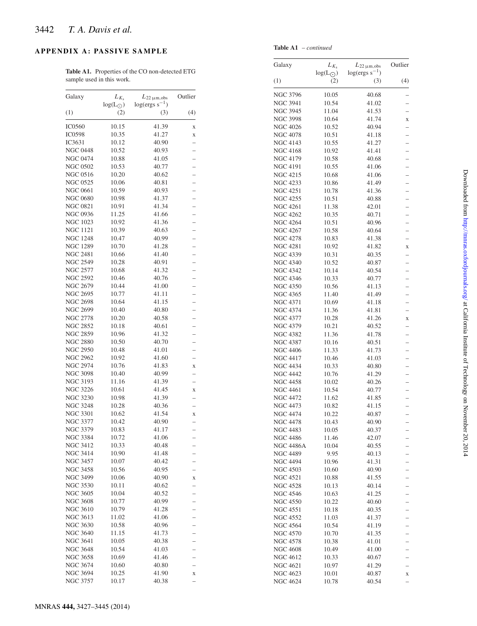# <span id="page-15-0"></span>**APPENDIX A: PASSIVE SAMPLE**

**Table A1.** Properties of the CO non-detected ETG sample used in this work.

| Galaxy          |                                     |                                          | Outlier                  |
|-----------------|-------------------------------------|------------------------------------------|--------------------------|
|                 | $L_{K_{\rm S}}$<br>$log(L_{\odot})$ | $L_{22 \mu m,obs}$<br>$log(ergs s^{-1})$ |                          |
| (1)             | (2)                                 | (3)                                      | (4)                      |
|                 |                                     |                                          |                          |
| <b>IC0560</b>   | 10.15                               | 41.39                                    | X                        |
| <b>IC0598</b>   | 10.35                               | 41.27                                    | X                        |
| IC3631          | 10.12                               | 40.90                                    | $\overline{\phantom{0}}$ |
| <b>NGC 0448</b> | 10.52                               | 40.93                                    |                          |
| <b>NGC 0474</b> | 10.88                               | 41.05                                    |                          |
| <b>NGC 0502</b> | 10.53                               | 40.77                                    | $\overline{\phantom{0}}$ |
| <b>NGC 0516</b> | 10.20                               | 40.62                                    |                          |
| <b>NGC 0525</b> | 10.06                               | 40.81                                    | $\overline{a}$           |
| <b>NGC 0661</b> | 10.59                               | 40.93                                    | -                        |
| <b>NGC 0680</b> | 10.98                               | 41.37                                    |                          |
| <b>NGC 0821</b> | 10.91                               | 41.34                                    | $\overline{a}$           |
| <b>NGC 0936</b> | 11.25                               | 41.66                                    | -                        |
| <b>NGC 1023</b> | 10.92                               | 41.36                                    | $\overline{a}$           |
| <b>NGC 1121</b> | 10.39                               | 40.63                                    | $\overline{a}$           |
| <b>NGC 1248</b> | 10.47                               | 40.99                                    |                          |
|                 |                                     |                                          |                          |
| <b>NGC 1289</b> | 10.70                               | 41.28                                    | $\overline{\phantom{0}}$ |
| <b>NGC 2481</b> | 10.66                               | 41.40                                    |                          |
| <b>NGC 2549</b> | 10.28                               | 40.91                                    |                          |
| NGC 2577        | 10.68                               | 41.32                                    | $\overline{\phantom{0}}$ |
| <b>NGC 2592</b> | 10.46                               | 40.76                                    | $\overline{\phantom{0}}$ |
| <b>NGC 2679</b> | 10.44                               | 41.00                                    |                          |
| <b>NGC 2695</b> | 10.77                               | 41.11                                    | $\overline{\phantom{0}}$ |
| <b>NGC 2698</b> | 10.64                               | 41.15                                    | $\overline{\phantom{0}}$ |
| <b>NGC 2699</b> | 10.40                               | 40.80                                    |                          |
| NGC 2778        | 10.20                               | 40.58                                    | $\overline{\phantom{0}}$ |
| <b>NGC 2852</b> | 10.18                               | 40.61                                    | $\overline{\phantom{0}}$ |
| <b>NGC 2859</b> | 10.96                               | 41.32                                    |                          |
| <b>NGC 2880</b> | 10.50                               | 40.70                                    | $\overline{a}$           |
| <b>NGC 2950</b> | 10.48                               | 41.01                                    | $\overline{a}$           |
| <b>NGC 2962</b> | 10.92                               | 41.60                                    |                          |
| <b>NGC 2974</b> | 10.76                               | 41.83                                    | X                        |
| <b>NGC 3098</b> | 10.40                               | 40.99                                    | $\overline{\phantom{0}}$ |
| <b>NGC 3193</b> | 11.16                               | 41.39                                    |                          |
|                 |                                     |                                          | $\overline{\phantom{0}}$ |
| <b>NGC 3226</b> | 10.61                               | 41.45                                    | X                        |
| <b>NGC 3230</b> | 10.98                               | 41.39                                    | $\overline{a}$           |
| <b>NGC 3248</b> | 10.28                               | 40.36                                    |                          |
| <b>NGC 3301</b> | 10.62                               | 41.54                                    | X                        |
| <b>NGC 3377</b> | 10.42                               | 40.90                                    |                          |
| NGC 3379        | 10.83                               | 41.17                                    | $\overline{\phantom{0}}$ |
| NGC 3384        | 10.72                               | 41.06                                    |                          |
| <b>NGC 3412</b> | 10.33                               | 40.48                                    |                          |
| <b>NGC 3414</b> | 10.90                               | 41.48                                    |                          |
| <b>NGC 3457</b> | 10.07                               | 40.42                                    |                          |
| <b>NGC 3458</b> | 10.56                               | 40.95                                    | $\overline{\phantom{0}}$ |
| <b>NGC 3499</b> | 10.06                               | 40.90                                    | X                        |
| <b>NGC 3530</b> | 10.11                               | 40.62                                    | -                        |
| <b>NGC 3605</b> | 10.04                               | 40.52                                    | $\overline{\phantom{0}}$ |
| <b>NGC 3608</b> | 10.77                               | 40.99                                    | $\overline{a}$           |
| <b>NGC 3610</b> | 10.79                               | 41.28                                    |                          |
| <b>NGC 3613</b> | 11.02                               | 41.06                                    | $\overline{\phantom{0}}$ |
| <b>NGC 3630</b> | 10.58                               | 40.96                                    | $\overline{\phantom{0}}$ |
| <b>NGC 3640</b> | 11.15                               |                                          |                          |
|                 |                                     | 41.73                                    |                          |
| <b>NGC 3641</b> | 10.05                               | 40.38                                    | $\overline{\phantom{0}}$ |
| <b>NGC 3648</b> | 10.54                               | 41.03                                    |                          |
| <b>NGC 3658</b> | 10.69                               | 41.46                                    |                          |
| <b>NGC 3674</b> | 10.60                               | 40.80                                    | $\overline{a}$           |
| <b>NGC 3694</b> | 10.25                               | 41.90                                    | X                        |
| <b>NGC 3757</b> | 10.17                               | 40.38                                    |                          |

<span id="page-15-1"></span>

| Galaxy                             | $L_{K_s}$               | $L_{22 \mu m,obs}$        | Outlier       |
|------------------------------------|-------------------------|---------------------------|---------------|
| (1)                                | $log(L_{\odot})$<br>(2) | $log(ergs s^{-1})$<br>(3) | (4)           |
|                                    |                         |                           |               |
| <b>NGC 3796</b>                    | 10.05                   | 40.68                     |               |
| <b>NGC 3941</b>                    | 10.54                   | 41.02                     |               |
| <b>NGC 3945</b>                    | 11.04                   | 41.53                     |               |
| <b>NGC 3998</b>                    | 10.64                   | 41.74                     | X             |
| <b>NGC 4026</b>                    | 10.52                   | 40.94                     |               |
| <b>NGC 4078</b>                    | 10.51                   | 41.18                     |               |
| <b>NGC 4143</b><br><b>NGC 4168</b> | 10.55                   | 41.27                     |               |
| <b>NGC 4179</b>                    | 10.92<br>10.58          | 41.41<br>40.68            |               |
| <b>NGC 4191</b>                    | 10.55                   | 41.06                     |               |
| <b>NGC 4215</b>                    | 10.68                   | 41.06                     |               |
| <b>NGC 4233</b>                    | 10.86                   | 41.49                     |               |
| <b>NGC 4251</b>                    | 10.78                   | 41.36                     |               |
| <b>NGC 4255</b>                    | 10.51                   | 40.88                     |               |
| <b>NGC 4261</b>                    | 11.38                   | 42.01                     |               |
| <b>NGC 4262</b>                    | 10.35                   | 40.71                     |               |
| <b>NGC 4264</b>                    | 10.51                   | 40.96                     |               |
| <b>NGC 4267</b>                    | 10.58                   | 40.64                     |               |
| <b>NGC 4278</b>                    | 10.83                   | 41.38                     |               |
| <b>NGC 4281</b>                    | 10.92                   | 41.82                     | $\bf{X}$      |
| <b>NGC 4339</b>                    | 10.31                   | 40.35                     |               |
| <b>NGC 4340</b>                    | 10.52                   | 40.87                     |               |
| <b>NGC 4342</b>                    | 10.14                   | 40.54                     |               |
| <b>NGC 4346</b><br><b>NGC 4350</b> | 10.33<br>10.56          | 40.77<br>41.13            | — — — — — — — |
| <b>NGC 4365</b>                    | 11.40                   | 41.49                     |               |
| <b>NGC 4371</b>                    | 10.69                   | 41.18                     |               |
| <b>NGC 4374</b>                    | 11.36                   | 41.81                     |               |
| <b>NGC 4377</b>                    | 10.28                   | 41.26                     | X             |
| <b>NGC 4379</b>                    | 10.21                   | 40.52                     |               |
| <b>NGC 4382</b>                    | 11.36                   | 41.78                     |               |
| <b>NGC 4387</b>                    | 10.16                   | 40.51                     |               |
| <b>NGC 4406</b>                    | 11.33                   | 41.73                     |               |
| <b>NGC 4417</b>                    | 10.46                   | 41.03                     |               |
| <b>NGC 4434</b>                    | 10.33                   | 40.80                     |               |
| <b>NGC 4442</b>                    | 10.76                   | 41.29                     |               |
| <b>NGC 4458</b>                    | 10.02                   | 40.26                     |               |
| <b>NGC 4461</b>                    | 10.54                   | 40.77                     |               |
| <b>NGC 4472</b><br><b>NGC 4473</b> | 11.62                   | 41.85                     |               |
| <b>NGC 4474</b>                    | 10.82                   | 41.15<br>40.87            |               |
| <b>NGC 4478</b>                    | 10.22<br>10.43          | 40.90                     |               |
| <b>NGC 4483</b>                    | 10.05                   | 40.37                     |               |
| <b>NGC 4486</b>                    | 11.46                   | 42.07                     |               |
| <b>NGC 4486A</b>                   | 10.04                   | 40.55                     |               |
| <b>NGC 4489</b>                    | 9.95                    | 40.13                     |               |
| <b>NGC 4494</b>                    | 10.96                   | 41.31                     |               |
| <b>NGC 4503</b>                    | 10.60                   | 40.90                     |               |
| <b>NGC 4521</b>                    | 10.88                   | 41.55                     |               |
| <b>NGC 4528</b>                    | 10.13                   | 40.14                     |               |
| <b>NGC 4546</b>                    | 10.63                   | 41.25                     |               |
| <b>NGC 4550</b>                    | 10.22                   | 40.60                     |               |
| <b>NGC 4551</b>                    | 10.18                   | 40.35                     |               |
| <b>NGC 4552</b>                    | 11.03                   | 41.37                     |               |
| <b>NGC 4564</b><br><b>NGC 4570</b> | 10.54                   | 41.19                     |               |
| <b>NGC 4578</b>                    | 10.70<br>10.38          | 41.35<br>41.01            |               |
| <b>NGC 4608</b>                    | 10.49                   | 41.00                     |               |
| <b>NGC 4612</b>                    | 10.33                   | 40.67                     |               |
| <b>NGC 4621</b>                    | 10.97                   | 41.29                     |               |
| <b>NGC 4623</b>                    | 10.01                   | 40.87                     | X             |
| <b>NGC 4624</b>                    | 10.78                   | 40.54                     |               |
|                                    |                         |                           |               |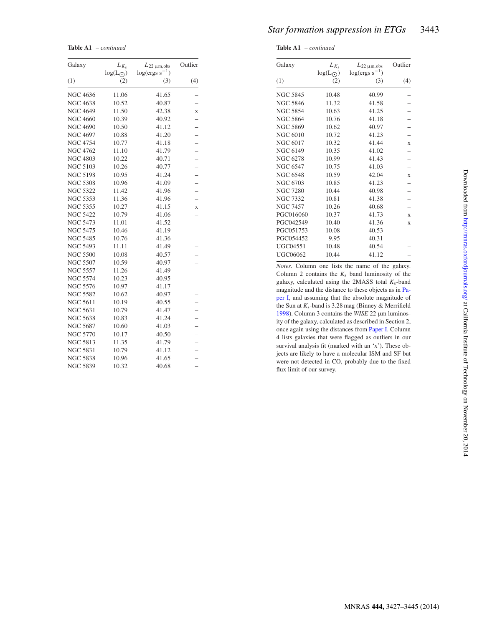*Star formation suppression in ETGs* 3443

<span id="page-16-1"></span>**Table A1** – *continued*

| Galaxy          | $L_{K_{\rm s}}$         | $L_{22 \mu m,obs}$        | Outlier                  |
|-----------------|-------------------------|---------------------------|--------------------------|
| (1)             | $log(L_{\odot})$<br>(2) | $log(ergs s^{-1})$<br>(3) | (4)                      |
| <b>NGC 4636</b> | 11.06                   | 41.65                     |                          |
| <b>NGC 4638</b> | 10.52                   | 40.87                     |                          |
| <b>NGC 4649</b> | 11.50                   | 42.38                     | $\mathbf X$              |
| <b>NGC 4660</b> | 10.39                   | 40.92                     |                          |
| <b>NGC 4690</b> | 10.50                   | 41.12                     |                          |
| <b>NGC 4697</b> | 10.88                   | 41.20                     |                          |
| <b>NGC 4754</b> | 10.77                   | 41.18                     |                          |
| <b>NGC 4762</b> | 11.10                   | 41.79                     |                          |
| <b>NGC 4803</b> | 10.22                   | 40.71                     | $\overline{\phantom{0}}$ |
| <b>NGC 5103</b> | 10.26                   | 40.77                     |                          |
| <b>NGC 5198</b> | 10.95                   | 41.24                     |                          |
| <b>NGC 5308</b> | 10.96                   | 41.09                     |                          |
| <b>NGC 5322</b> | 11.42                   | 41.96                     |                          |
| <b>NGC 5353</b> | 11.36                   | 41.96                     | $\overline{a}$           |
| <b>NGC 5355</b> | 10.27                   | 41.15                     | $\mathbf X$              |
| <b>NGC 5422</b> | 10.79                   | 41.06                     |                          |
| <b>NGC 5473</b> | 11.01                   | 41.52                     |                          |
| <b>NGC 5475</b> | 10.46                   | 41.19                     |                          |
| <b>NGC 5485</b> | 10.76                   | 41.36                     |                          |
| <b>NGC 5493</b> | 11.11                   | 41.49                     |                          |
| <b>NGC 5500</b> | 10.08                   | 40.57                     |                          |
| <b>NGC 5507</b> | 10.59                   | 40.97                     | $\overline{\phantom{0}}$ |
| <b>NGC 5557</b> | 11.26                   | 41.49                     |                          |
| <b>NGC 5574</b> | 10.23                   | 40.95                     |                          |
| <b>NGC 5576</b> | 10.97                   | 41.17                     |                          |
| <b>NGC 5582</b> | 10.62                   | 40.97                     |                          |
| <b>NGC 5611</b> | 10.19                   | 40.55                     | $\overline{\phantom{0}}$ |
| <b>NGC 5631</b> | 10.79                   | 41.47                     | $\overline{\phantom{0}}$ |
| <b>NGC 5638</b> | 10.83                   | 41.24                     |                          |
| <b>NGC 5687</b> | 10.60                   | 41.03                     |                          |
| <b>NGC 5770</b> | 10.17                   | 40.50                     |                          |
| <b>NGC 5813</b> | 11.35                   | 41.79                     |                          |
| <b>NGC 5831</b> | 10.79                   | 41.12                     |                          |
| <b>NGC 5838</b> | 10.96                   | 41.65                     |                          |
| <b>NGC 5839</b> | 10.32                   | 40.68                     |                          |

<span id="page-16-0"></span>

| Galaxy          | $L_{K_s}$               | $L_{22 \mu m,obs}$<br>$log(ergs s^{-1})$ | Outlier      |
|-----------------|-------------------------|------------------------------------------|--------------|
| (1)             | $log(L_{\odot})$<br>(2) | (3)                                      | (4)          |
| <b>NGC 5845</b> | 10.48                   | 40.99                                    |              |
| <b>NGC 5846</b> | 11.32                   | 41.58                                    |              |
| <b>NGC 5854</b> | 10.63                   | 41.25                                    |              |
| <b>NGC 5864</b> | 10.76                   | 41.18                                    |              |
| <b>NGC 5869</b> | 10.62                   | 40.97                                    |              |
| <b>NGC 6010</b> | 10.72                   | 41.23                                    |              |
| <b>NGC 6017</b> | 10.32                   | 41.44                                    | X            |
| <b>NGC 6149</b> | 10.35                   | 41.02                                    |              |
| <b>NGC 6278</b> | 10.99                   | 41.43                                    |              |
| <b>NGC 6547</b> | 10.75                   | 41.03                                    |              |
| <b>NGC 6548</b> | 10.59                   | 42.04                                    | X            |
| NGC 6703        | 10.85                   | 41.23                                    |              |
| <b>NGC 7280</b> | 10.44                   | 40.98                                    |              |
| <b>NGC 7332</b> | 10.81                   | 41.38                                    |              |
| <b>NGC 7457</b> | 10.26                   | 40.68                                    |              |
| PGC016060       | 10.37                   | 41.73                                    | $\mathbf{x}$ |
| PGC042549       | 10.40                   | 41.36                                    | X            |
| PGC051753       | 10.08                   | 40.53                                    |              |
| PGC054452       | 9.95                    | 40.31                                    |              |
| <b>UGC04551</b> | 10.48                   | 40.54                                    |              |
| <b>UGC06062</b> | 10.44                   | 41.12                                    |              |

*Notes.* Column one lists the name of the galaxy. Column 2 contains the  $K_s$  band luminosity of the galaxy, calculated using the 2MASS total  $K_s$ -band magnitude and the distance to these objects as in [Pa](#page-14-32)[per I,](#page-14-32) and assuming that the absolute magnitude of the Sun at *K*s-band is 3.28 mag (Binney & Merrifield [1998\)](#page-14-50). Column 3 contains the *WISE* 22 µm luminosity of the galaxy, calculated as described in Section 2, once again using the distances from [Paper I.](#page-14-32) Column 4 lists galaxies that were flagged as outliers in our survival analysis fit (marked with an 'x'). These objects are likely to have a molecular ISM and SF but were not detected in CO, probably due to the fixed flux limit of our survey.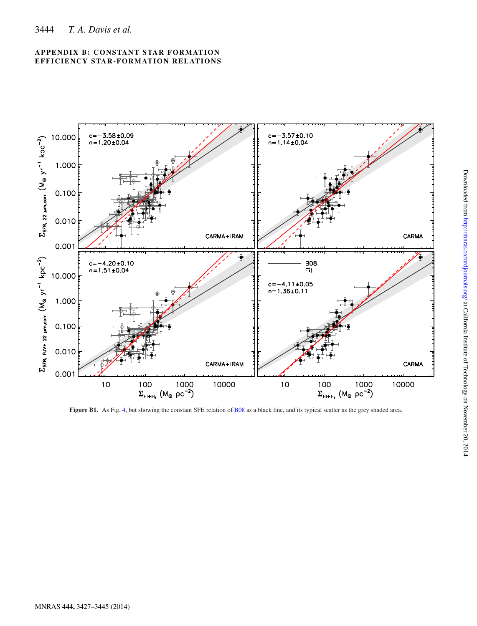

<span id="page-17-0"></span>

Figure B1. As Fig. [4,](#page-7-0) but showing the constant SFE relation of [B08](#page-14-38) as a black line, and its typical scatter as the grey shaded area.